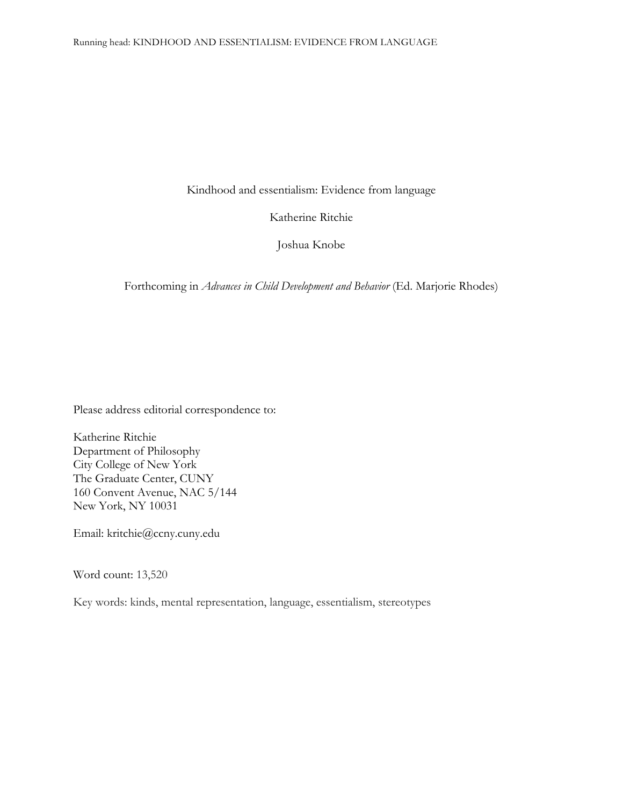Kindhood and essentialism: Evidence from language

Katherine Ritchie

Joshua Knobe

Forthcoming in *Advances in Child Development and Behavior* (Ed. Marjorie Rhodes)

Please address editorial correspondence to:

Katherine Ritchie Department of Philosophy City College of New York The Graduate Center, CUNY 160 Convent Avenue, NAC 5/144 New York, NY 10031

Email: kritchie@ccny.cuny.edu

Word count: 13,520

Key words: kinds, mental representation, language, essentialism, stereotypes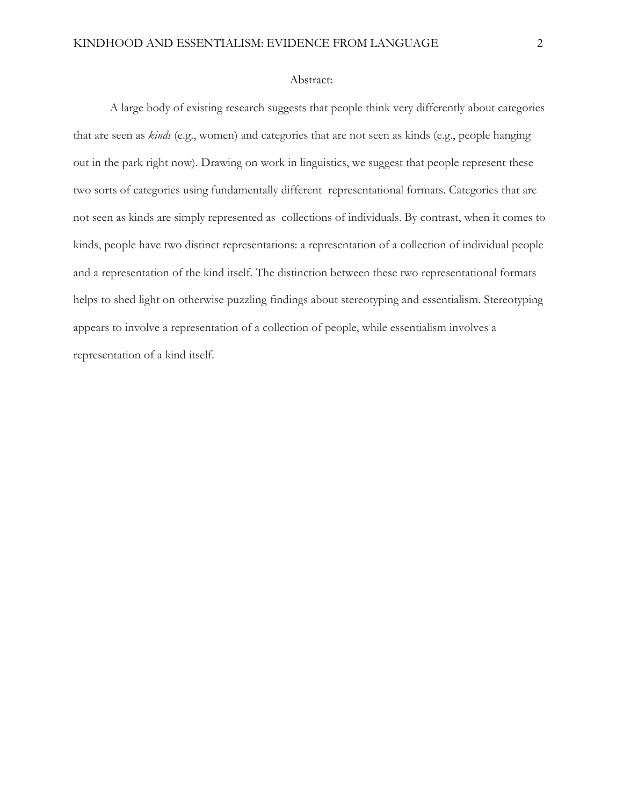#### Abstract:

A large body of existing research suggests that people think very differently about categories that are seen as *kinds* (e.g., women) and categories that are not seen as kinds (e.g., people hanging out in the park right now). Drawing on work in linguistics, we suggest that people represent these two sorts of categories using fundamentally different representational formats. Categories that are not seen as kinds are simply represented as collections of individuals. By contrast, when it comes to kinds, people have two distinct representations: a representation of a collection of individual people and a representation of the kind itself. The distinction between these two representational formats helps to shed light on otherwise puzzling findings about stereotyping and essentialism. Stereotyping appears to involve a representation of a collection of people, while essentialism involves a representation of a kind itself.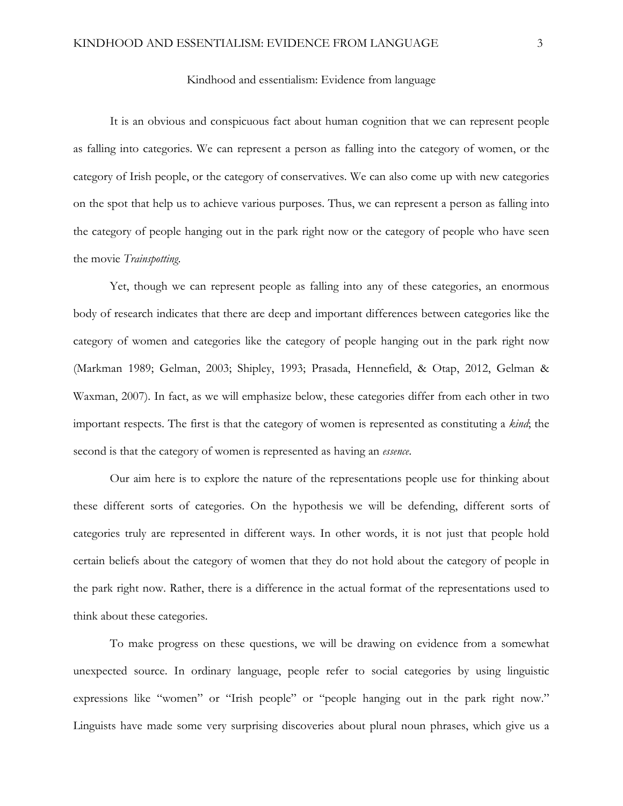### Kindhood and essentialism: Evidence from language

It is an obvious and conspicuous fact about human cognition that we can represent people as falling into categories. We can represent a person as falling into the category of women, or the category of Irish people, or the category of conservatives. We can also come up with new categories on the spot that help us to achieve various purposes. Thus, we can represent a person as falling into the category of people hanging out in the park right now or the category of people who have seen the movie *Trainspotting*.

Yet, though we can represent people as falling into any of these categories, an enormous body of research indicates that there are deep and important differences between categories like the category of women and categories like the category of people hanging out in the park right now (Markman 1989; Gelman, 2003; Shipley, 1993; Prasada, Hennefield, & Otap, 2012, Gelman & Waxman, 2007). In fact, as we will emphasize below, these categories differ from each other in two important respects. The first is that the category of women is represented as constituting a *kind*; the second is that the category of women is represented as having an *essence*.

Our aim here is to explore the nature of the representations people use for thinking about these different sorts of categories. On the hypothesis we will be defending, different sorts of categories truly are represented in different ways. In other words, it is not just that people hold certain beliefs about the category of women that they do not hold about the category of people in the park right now. Rather, there is a difference in the actual format of the representations used to think about these categories.

To make progress on these questions, we will be drawing on evidence from a somewhat unexpected source. In ordinary language, people refer to social categories by using linguistic expressions like "women" or "Irish people" or "people hanging out in the park right now." Linguists have made some very surprising discoveries about plural noun phrases, which give us a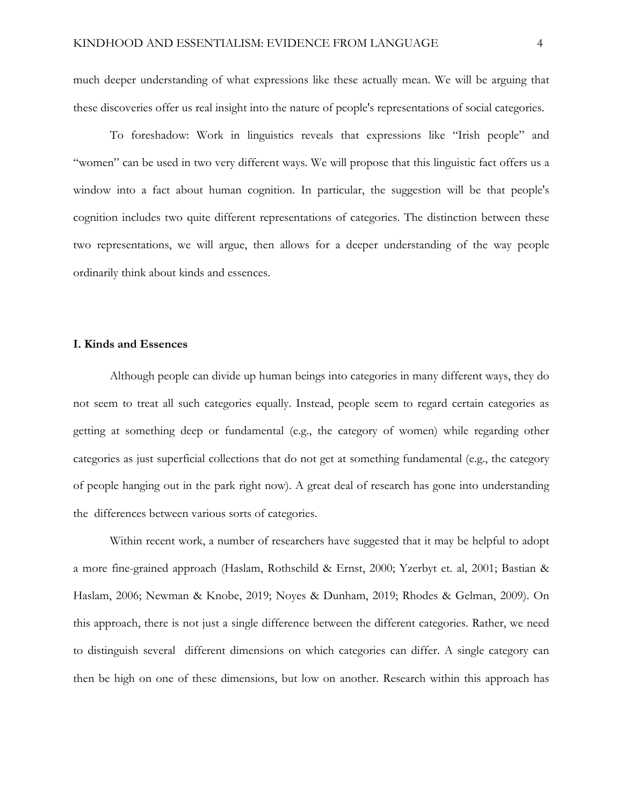much deeper understanding of what expressions like these actually mean. We will be arguing that these discoveries offer us real insight into the nature of people's representations of social categories.

To foreshadow: Work in linguistics reveals that expressions like "Irish people" and "women" can be used in two very different ways. We will propose that this linguistic fact offers us a window into a fact about human cognition. In particular, the suggestion will be that people's cognition includes two quite different representations of categories. The distinction between these two representations, we will argue, then allows for a deeper understanding of the way people ordinarily think about kinds and essences.

### **I. Kinds and Essences**

Although people can divide up human beings into categories in many different ways, they do not seem to treat all such categories equally. Instead, people seem to regard certain categories as getting at something deep or fundamental (e.g., the category of women) while regarding other categories as just superficial collections that do not get at something fundamental (e.g., the category of people hanging out in the park right now). A great deal of research has gone into understanding the differences between various sorts of categories.

Within recent work, a number of researchers have suggested that it may be helpful to adopt a more fine-grained approach (Haslam, Rothschild & Ernst, 2000; Yzerbyt et. al, 2001; Bastian & Haslam, 2006; Newman & Knobe, 2019; Noyes & Dunham, 2019; Rhodes & Gelman, 2009). On this approach, there is not just a single difference between the different categories. Rather, we need to distinguish several different dimensions on which categories can differ. A single category can then be high on one of these dimensions, but low on another. Research within this approach has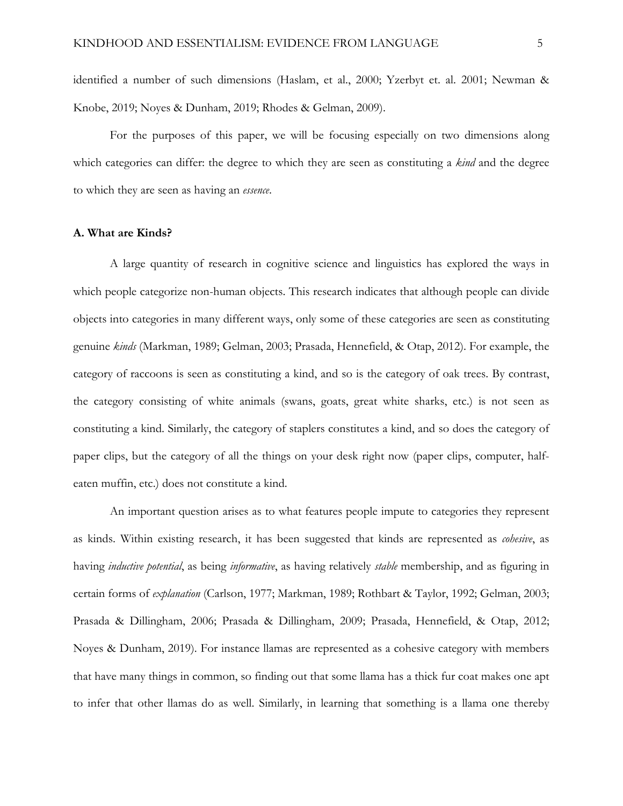identified a number of such dimensions (Haslam, et al., 2000; Yzerbyt et. al. 2001; Newman & Knobe, 2019; Noyes & Dunham, 2019; Rhodes & Gelman, 2009).

For the purposes of this paper, we will be focusing especially on two dimensions along which categories can differ: the degree to which they are seen as constituting a *kind* and the degree to which they are seen as having an *essence*.

### **A. What are Kinds?**

A large quantity of research in cognitive science and linguistics has explored the ways in which people categorize non-human objects. This research indicates that although people can divide objects into categories in many different ways, only some of these categories are seen as constituting genuine *kinds* (Markman, 1989; Gelman, 2003; Prasada, Hennefield, & Otap, 2012). For example, the category of raccoons is seen as constituting a kind, and so is the category of oak trees. By contrast, the category consisting of white animals (swans, goats, great white sharks, etc.) is not seen as constituting a kind. Similarly, the category of staplers constitutes a kind, and so does the category of paper clips, but the category of all the things on your desk right now (paper clips, computer, halfeaten muffin, etc.) does not constitute a kind.

An important question arises as to what features people impute to categories they represent as kinds. Within existing research, it has been suggested that kinds are represented as *cohesive*, as having *inductive potential*, as being *informative*, as having relatively *stable* membership, and as figuring in certain forms of *explanation* (Carlson, 1977; Markman, 1989; Rothbart & Taylor, 1992; Gelman, 2003; Prasada & Dillingham, 2006; Prasada & Dillingham, 2009; Prasada, Hennefield, & Otap, 2012; Noyes & Dunham, 2019). For instance llamas are represented as a cohesive category with members that have many things in common, so finding out that some llama has a thick fur coat makes one apt to infer that other llamas do as well. Similarly, in learning that something is a llama one thereby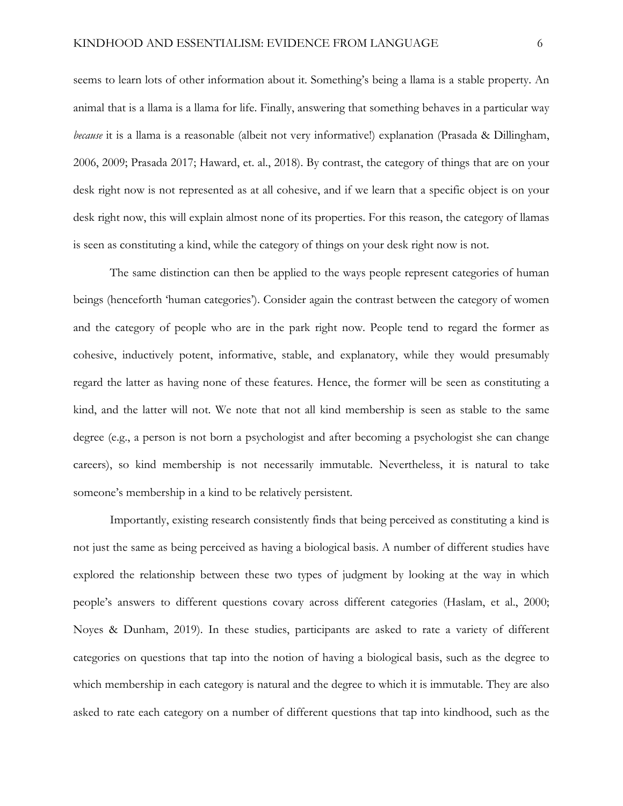seems to learn lots of other information about it. Something's being a llama is a stable property. An animal that is a llama is a llama for life. Finally, answering that something behaves in a particular way *because* it is a llama is a reasonable (albeit not very informative!) explanation (Prasada & Dillingham, 2006, 2009; Prasada 2017; Haward, et. al., 2018). By contrast, the category of things that are on your desk right now is not represented as at all cohesive, and if we learn that a specific object is on your desk right now, this will explain almost none of its properties. For this reason, the category of llamas is seen as constituting a kind, while the category of things on your desk right now is not.

The same distinction can then be applied to the ways people represent categories of human beings (henceforth 'human categories'). Consider again the contrast between the category of women and the category of people who are in the park right now. People tend to regard the former as cohesive, inductively potent, informative, stable, and explanatory, while they would presumably regard the latter as having none of these features. Hence, the former will be seen as constituting a kind, and the latter will not. We note that not all kind membership is seen as stable to the same degree (e.g., a person is not born a psychologist and after becoming a psychologist she can change careers), so kind membership is not necessarily immutable. Nevertheless, it is natural to take someone's membership in a kind to be relatively persistent.

Importantly, existing research consistently finds that being perceived as constituting a kind is not just the same as being perceived as having a biological basis. A number of different studies have explored the relationship between these two types of judgment by looking at the way in which people's answers to different questions covary across different categories (Haslam, et al., 2000; Noyes & Dunham, 2019). In these studies, participants are asked to rate a variety of different categories on questions that tap into the notion of having a biological basis, such as the degree to which membership in each category is natural and the degree to which it is immutable. They are also asked to rate each category on a number of different questions that tap into kindhood, such as the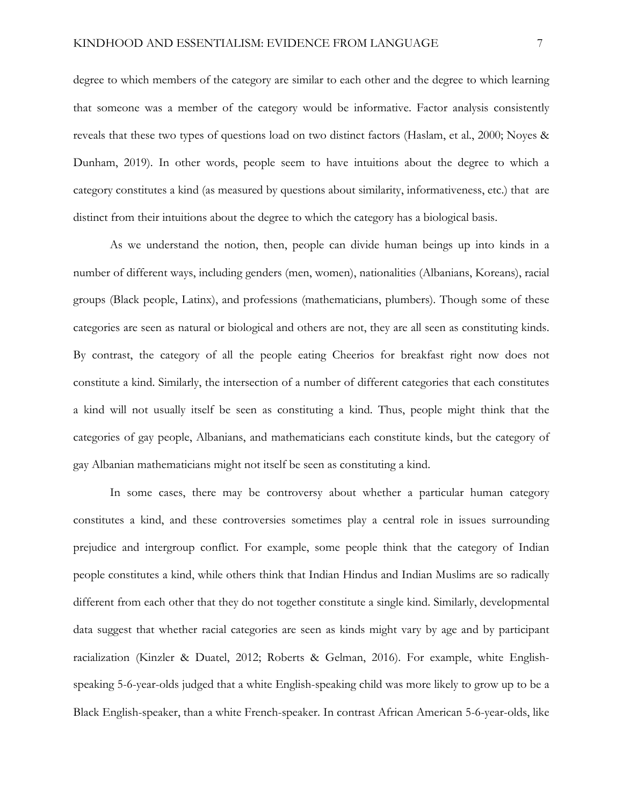degree to which members of the category are similar to each other and the degree to which learning that someone was a member of the category would be informative. Factor analysis consistently reveals that these two types of questions load on two distinct factors (Haslam, et al., 2000; Noyes & Dunham, 2019). In other words, people seem to have intuitions about the degree to which a category constitutes a kind (as measured by questions about similarity, informativeness, etc.) that are distinct from their intuitions about the degree to which the category has a biological basis.

As we understand the notion, then, people can divide human beings up into kinds in a number of different ways, including genders (men, women), nationalities (Albanians, Koreans), racial groups (Black people, Latinx), and professions (mathematicians, plumbers). Though some of these categories are seen as natural or biological and others are not, they are all seen as constituting kinds. By contrast, the category of all the people eating Cheerios for breakfast right now does not constitute a kind. Similarly, the intersection of a number of different categories that each constitutes a kind will not usually itself be seen as constituting a kind. Thus, people might think that the categories of gay people, Albanians, and mathematicians each constitute kinds, but the category of gay Albanian mathematicians might not itself be seen as constituting a kind.

In some cases, there may be controversy about whether a particular human category constitutes a kind, and these controversies sometimes play a central role in issues surrounding prejudice and intergroup conflict. For example, some people think that the category of Indian people constitutes a kind, while others think that Indian Hindus and Indian Muslims are so radically different from each other that they do not together constitute a single kind. Similarly, developmental data suggest that whether racial categories are seen as kinds might vary by age and by participant racialization (Kinzler & Duatel, 2012; Roberts & Gelman, 2016). For example, white Englishspeaking 5-6-year-olds judged that a white English-speaking child was more likely to grow up to be a Black English-speaker, than a white French-speaker. In contrast African American 5-6-year-olds, like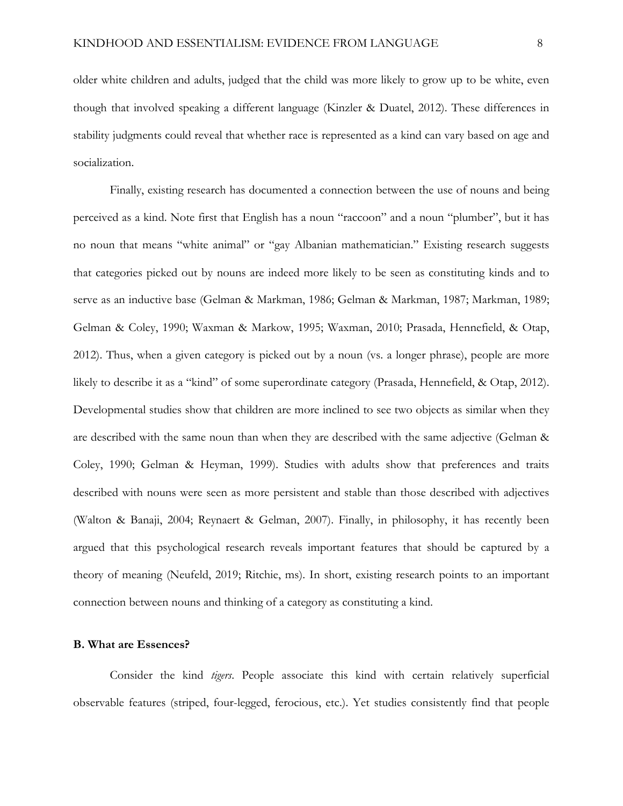older white children and adults, judged that the child was more likely to grow up to be white, even though that involved speaking a different language (Kinzler & Duatel, 2012). These differences in stability judgments could reveal that whether race is represented as a kind can vary based on age and socialization.

Finally, existing research has documented a connection between the use of nouns and being perceived as a kind. Note first that English has a noun "raccoon" and a noun "plumber", but it has no noun that means "white animal" or "gay Albanian mathematician." Existing research suggests that categories picked out by nouns are indeed more likely to be seen as constituting kinds and to serve as an inductive base (Gelman & Markman, 1986; Gelman & Markman, 1987; Markman, 1989; Gelman & Coley, 1990; Waxman & Markow, 1995; Waxman, 2010; Prasada, Hennefield, & Otap, 2012). Thus, when a given category is picked out by a noun (vs. a longer phrase), people are more likely to describe it as a "kind" of some superordinate category (Prasada, Hennefield, & Otap, 2012). Developmental studies show that children are more inclined to see two objects as similar when they are described with the same noun than when they are described with the same adjective (Gelman & Coley, 1990; Gelman & Heyman, 1999). Studies with adults show that preferences and traits described with nouns were seen as more persistent and stable than those described with adjectives (Walton & Banaji, 2004; Reynaert & Gelman, 2007). Finally, in philosophy, it has recently been argued that this psychological research reveals important features that should be captured by a theory of meaning (Neufeld, 2019; Ritchie, ms). In short, existing research points to an important connection between nouns and thinking of a category as constituting a kind.

# **B. What are Essences?**

Consider the kind *tigers*. People associate this kind with certain relatively superficial observable features (striped, four-legged, ferocious, etc.). Yet studies consistently find that people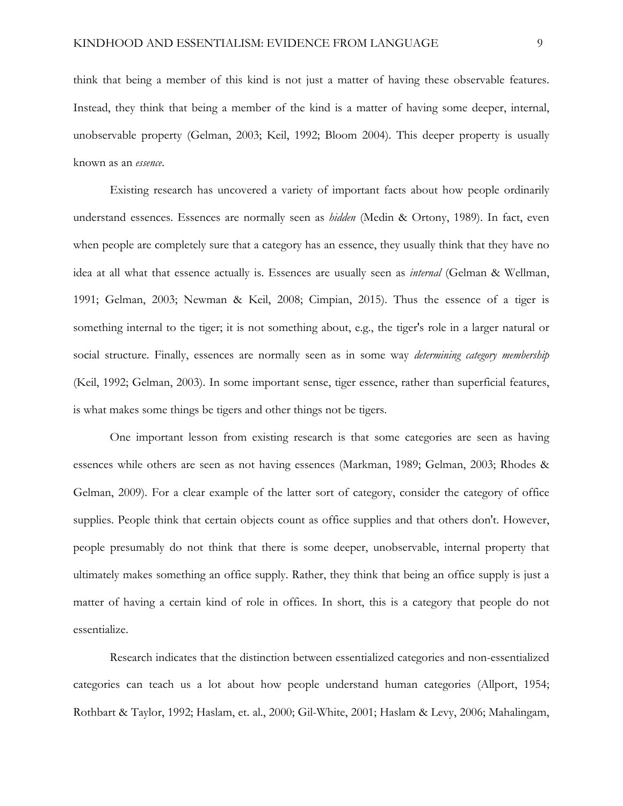think that being a member of this kind is not just a matter of having these observable features. Instead, they think that being a member of the kind is a matter of having some deeper, internal, unobservable property (Gelman, 2003; Keil, 1992; Bloom 2004). This deeper property is usually known as an *essence*.

Existing research has uncovered a variety of important facts about how people ordinarily understand essences. Essences are normally seen as *hidden* (Medin & Ortony, 1989). In fact, even when people are completely sure that a category has an essence, they usually think that they have no idea at all what that essence actually is. Essences are usually seen as *internal* (Gelman & Wellman, 1991; Gelman, 2003; Newman & Keil, 2008; Cimpian, 2015). Thus the essence of a tiger is something internal to the tiger; it is not something about, e.g., the tiger's role in a larger natural or social structure. Finally, essences are normally seen as in some way *determining category membership* (Keil, 1992; Gelman, 2003). In some important sense, tiger essence, rather than superficial features, is what makes some things be tigers and other things not be tigers.

One important lesson from existing research is that some categories are seen as having essences while others are seen as not having essences (Markman, 1989; Gelman, 2003; Rhodes & Gelman, 2009). For a clear example of the latter sort of category, consider the category of office supplies. People think that certain objects count as office supplies and that others don't. However, people presumably do not think that there is some deeper, unobservable, internal property that ultimately makes something an office supply. Rather, they think that being an office supply is just a matter of having a certain kind of role in offices. In short, this is a category that people do not essentialize.

Research indicates that the distinction between essentialized categories and non-essentialized categories can teach us a lot about how people understand human categories (Allport, 1954; Rothbart & Taylor, 1992; Haslam, et. al., 2000; Gil-White, 2001; Haslam & Levy, 2006; Mahalingam,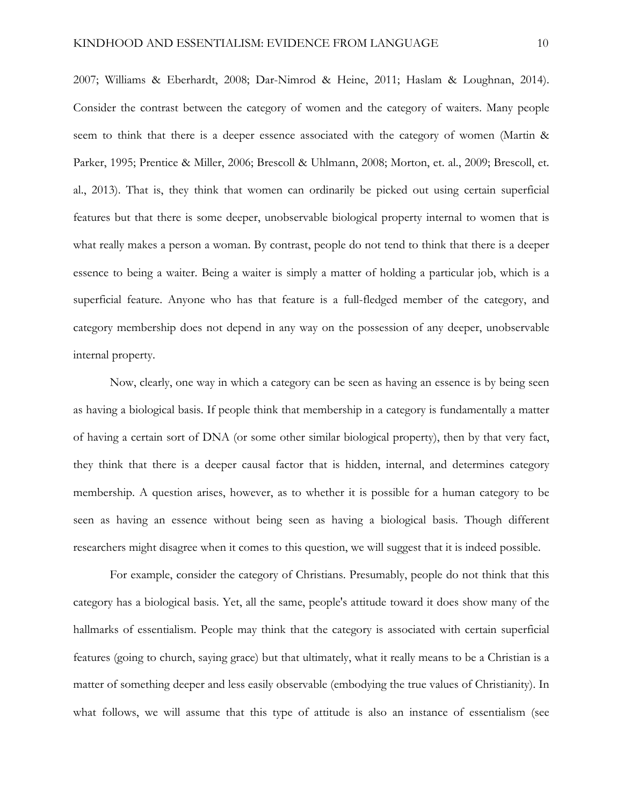2007; Williams & Eberhardt, 2008; Dar-Nimrod & Heine, 2011; Haslam & Loughnan, 2014). Consider the contrast between the category of women and the category of waiters. Many people seem to think that there is a deeper essence associated with the category of women (Martin & Parker, 1995; Prentice & Miller, 2006; Brescoll & Uhlmann, 2008; Morton, et. al., 2009; Brescoll, et. al., 2013). That is, they think that women can ordinarily be picked out using certain superficial features but that there is some deeper, unobservable biological property internal to women that is what really makes a person a woman. By contrast, people do not tend to think that there is a deeper essence to being a waiter. Being a waiter is simply a matter of holding a particular job, which is a superficial feature. Anyone who has that feature is a full-fledged member of the category, and category membership does not depend in any way on the possession of any deeper, unobservable internal property.

Now, clearly, one way in which a category can be seen as having an essence is by being seen as having a biological basis. If people think that membership in a category is fundamentally a matter of having a certain sort of DNA (or some other similar biological property), then by that very fact, they think that there is a deeper causal factor that is hidden, internal, and determines category membership. A question arises, however, as to whether it is possible for a human category to be seen as having an essence without being seen as having a biological basis. Though different researchers might disagree when it comes to this question, we will suggest that it is indeed possible.

For example, consider the category of Christians. Presumably, people do not think that this category has a biological basis. Yet, all the same, people's attitude toward it does show many of the hallmarks of essentialism. People may think that the category is associated with certain superficial features (going to church, saying grace) but that ultimately, what it really means to be a Christian is a matter of something deeper and less easily observable (embodying the true values of Christianity). In what follows, we will assume that this type of attitude is also an instance of essentialism (see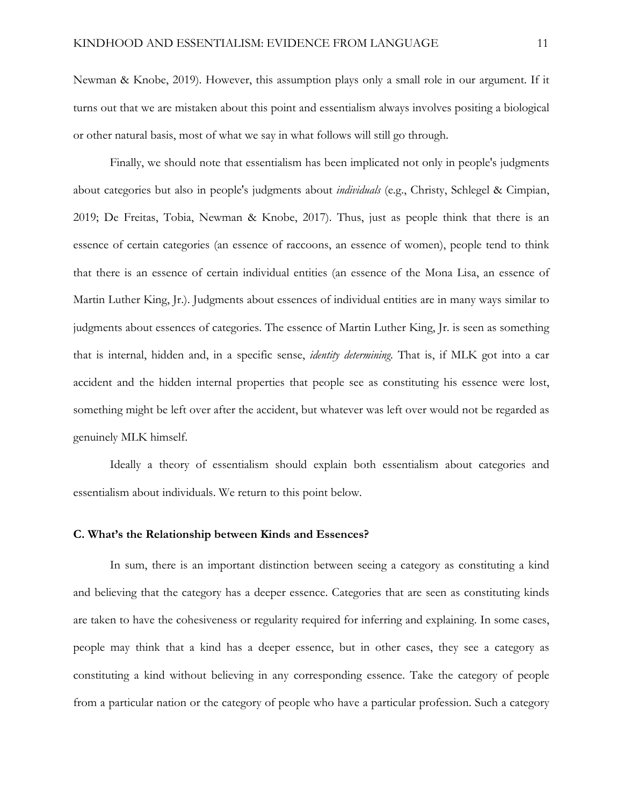Newman & Knobe, 2019). However, this assumption plays only a small role in our argument. If it turns out that we are mistaken about this point and essentialism always involves positing a biological or other natural basis, most of what we say in what follows will still go through.

Finally, we should note that essentialism has been implicated not only in people's judgments about categories but also in people's judgments about *individuals* (e.g., Christy, Schlegel & Cimpian, 2019; De Freitas, Tobia, Newman & Knobe, 2017). Thus, just as people think that there is an essence of certain categories (an essence of raccoons, an essence of women), people tend to think that there is an essence of certain individual entities (an essence of the Mona Lisa, an essence of Martin Luther King, Jr.). Judgments about essences of individual entities are in many ways similar to judgments about essences of categories. The essence of Martin Luther King, Jr. is seen as something that is internal, hidden and, in a specific sense, *identity determining*. That is, if MLK got into a car accident and the hidden internal properties that people see as constituting his essence were lost, something might be left over after the accident, but whatever was left over would not be regarded as genuinely MLK himself.

Ideally a theory of essentialism should explain both essentialism about categories and essentialism about individuals. We return to this point below.

### **C. What's the Relationship between Kinds and Essences?**

In sum, there is an important distinction between seeing a category as constituting a kind and believing that the category has a deeper essence. Categories that are seen as constituting kinds are taken to have the cohesiveness or regularity required for inferring and explaining. In some cases, people may think that a kind has a deeper essence, but in other cases, they see a category as constituting a kind without believing in any corresponding essence. Take the category of people from a particular nation or the category of people who have a particular profession. Such a category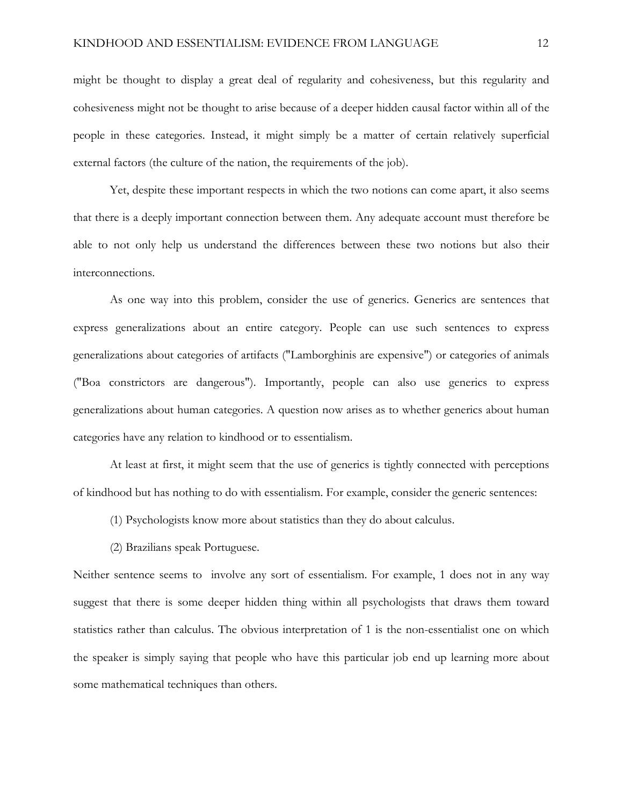might be thought to display a great deal of regularity and cohesiveness, but this regularity and cohesiveness might not be thought to arise because of a deeper hidden causal factor within all of the people in these categories. Instead, it might simply be a matter of certain relatively superficial external factors (the culture of the nation, the requirements of the job).

Yet, despite these important respects in which the two notions can come apart, it also seems that there is a deeply important connection between them. Any adequate account must therefore be able to not only help us understand the differences between these two notions but also their interconnections.

As one way into this problem, consider the use of generics. Generics are sentences that express generalizations about an entire category. People can use such sentences to express generalizations about categories of artifacts ("Lamborghinis are expensive") or categories of animals ("Boa constrictors are dangerous"). Importantly, people can also use generics to express generalizations about human categories. A question now arises as to whether generics about human categories have any relation to kindhood or to essentialism.

At least at first, it might seem that the use of generics is tightly connected with perceptions of kindhood but has nothing to do with essentialism. For example, consider the generic sentences:

- (1) Psychologists know more about statistics than they do about calculus.
- (2) Brazilians speak Portuguese.

Neither sentence seems to involve any sort of essentialism. For example, 1 does not in any way suggest that there is some deeper hidden thing within all psychologists that draws them toward statistics rather than calculus. The obvious interpretation of 1 is the non-essentialist one on which the speaker is simply saying that people who have this particular job end up learning more about some mathematical techniques than others.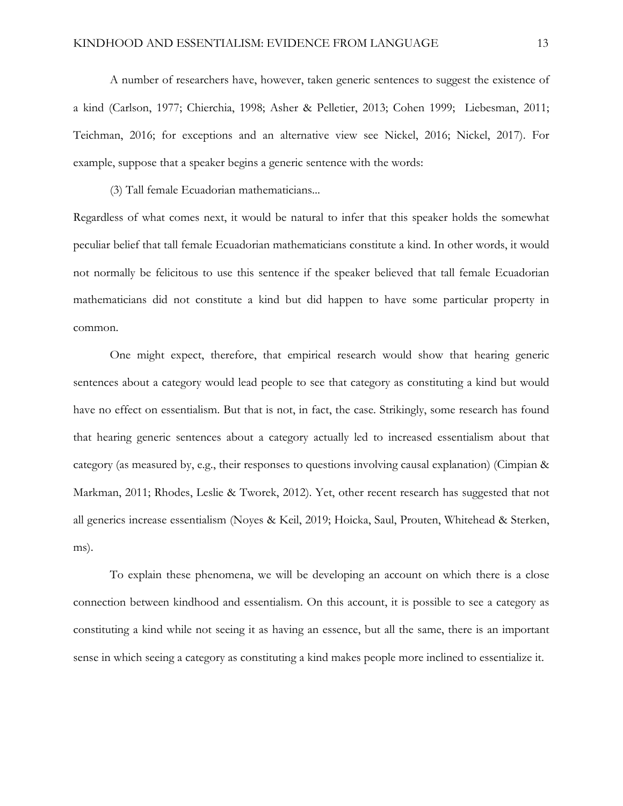A number of researchers have, however, taken generic sentences to suggest the existence of a kind (Carlson, 1977; Chierchia, 1998; Asher & Pelletier, 2013; Cohen 1999; Liebesman, 2011; Teichman, 2016; for exceptions and an alternative view see Nickel, 2016; Nickel, 2017). For example, suppose that a speaker begins a generic sentence with the words:

(3) Tall female Ecuadorian mathematicians...

Regardless of what comes next, it would be natural to infer that this speaker holds the somewhat peculiar belief that tall female Ecuadorian mathematicians constitute a kind. In other words, it would not normally be felicitous to use this sentence if the speaker believed that tall female Ecuadorian mathematicians did not constitute a kind but did happen to have some particular property in common.

One might expect, therefore, that empirical research would show that hearing generic sentences about a category would lead people to see that category as constituting a kind but would have no effect on essentialism. But that is not, in fact, the case. Strikingly, some research has found that hearing generic sentences about a category actually led to increased essentialism about that category (as measured by, e.g., their responses to questions involving causal explanation) (Cimpian & Markman, 2011; Rhodes, Leslie & Tworek, 2012). Yet, other recent research has suggested that not all generics increase essentialism (Noyes & Keil, 2019; Hoicka, Saul, Prouten, Whitehead & Sterken, ms).

To explain these phenomena, we will be developing an account on which there is a close connection between kindhood and essentialism. On this account, it is possible to see a category as constituting a kind while not seeing it as having an essence, but all the same, there is an important sense in which seeing a category as constituting a kind makes people more inclined to essentialize it.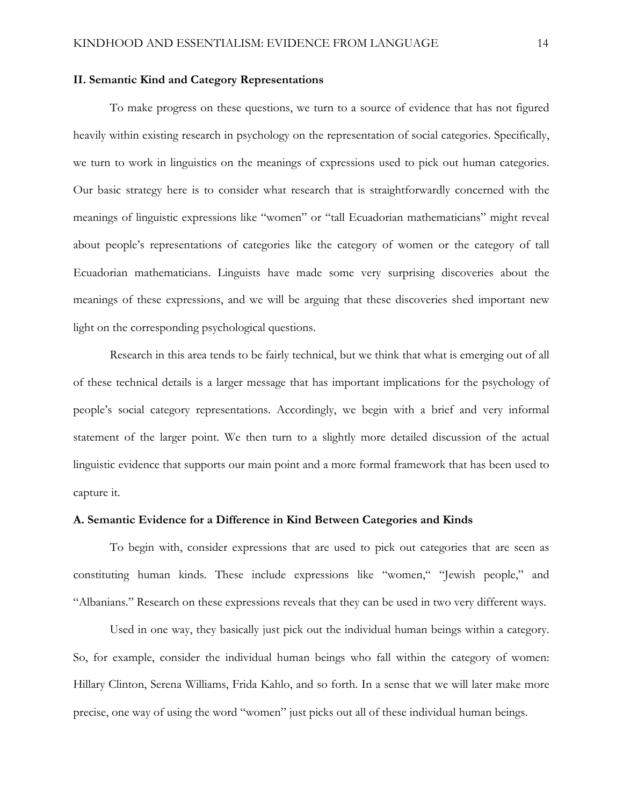### **II. Semantic Kind and Category Representations**

To make progress on these questions, we turn to a source of evidence that has not figured heavily within existing research in psychology on the representation of social categories. Specifically, we turn to work in linguistics on the meanings of expressions used to pick out human categories. Our basic strategy here is to consider what research that is straightforwardly concerned with the meanings of linguistic expressions like "women" or "tall Ecuadorian mathematicians" might reveal about people's representations of categories like the category of women or the category of tall Ecuadorian mathematicians. Linguists have made some very surprising discoveries about the meanings of these expressions, and we will be arguing that these discoveries shed important new light on the corresponding psychological questions.

Research in this area tends to be fairly technical, but we think that what is emerging out of all of these technical details is a larger message that has important implications for the psychology of people's social category representations. Accordingly, we begin with a brief and very informal statement of the larger point. We then turn to a slightly more detailed discussion of the actual linguistic evidence that supports our main point and a more formal framework that has been used to capture it.

## **A. Semantic Evidence for a Difference in Kind Between Categories and Kinds**

To begin with, consider expressions that are used to pick out categories that are seen as constituting human kinds. These include expressions like "women," "Jewish people," and "Albanians." Research on these expressions reveals that they can be used in two very different ways.

Used in one way, they basically just pick out the individual human beings within a category. So, for example, consider the individual human beings who fall within the category of women: Hillary Clinton, Serena Williams, Frida Kahlo, and so forth. In a sense that we will later make more precise, one way of using the word "women" just picks out all of these individual human beings.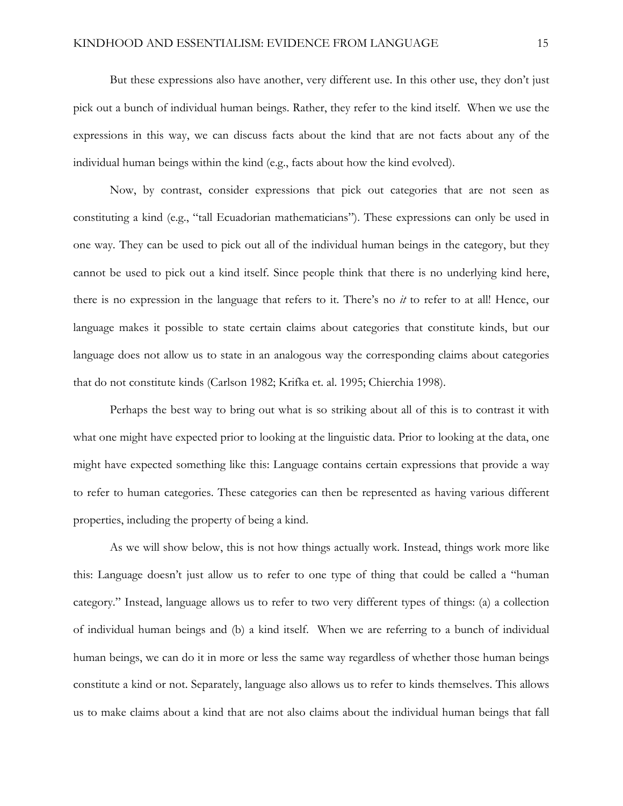But these expressions also have another, very different use. In this other use, they don't just pick out a bunch of individual human beings. Rather, they refer to the kind itself. When we use the expressions in this way, we can discuss facts about the kind that are not facts about any of the individual human beings within the kind (e.g., facts about how the kind evolved).

Now, by contrast, consider expressions that pick out categories that are not seen as constituting a kind (e.g., "tall Ecuadorian mathematicians"). These expressions can only be used in one way. They can be used to pick out all of the individual human beings in the category, but they cannot be used to pick out a kind itself. Since people think that there is no underlying kind here, there is no expression in the language that refers to it. There's no *it* to refer to at all! Hence, our language makes it possible to state certain claims about categories that constitute kinds, but our language does not allow us to state in an analogous way the corresponding claims about categories that do not constitute kinds (Carlson 1982; Krifka et. al. 1995; Chierchia 1998).

Perhaps the best way to bring out what is so striking about all of this is to contrast it with what one might have expected prior to looking at the linguistic data. Prior to looking at the data, one might have expected something like this: Language contains certain expressions that provide a way to refer to human categories. These categories can then be represented as having various different properties, including the property of being a kind.

As we will show below, this is not how things actually work. Instead, things work more like this: Language doesn't just allow us to refer to one type of thing that could be called a "human category." Instead, language allows us to refer to two very different types of things: (a) a collection of individual human beings and (b) a kind itself. When we are referring to a bunch of individual human beings, we can do it in more or less the same way regardless of whether those human beings constitute a kind or not. Separately, language also allows us to refer to kinds themselves. This allows us to make claims about a kind that are not also claims about the individual human beings that fall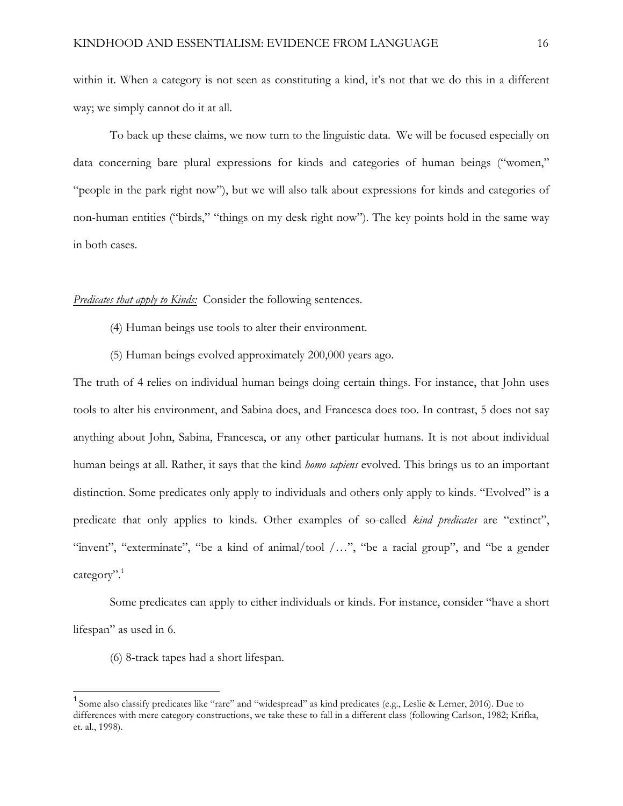within it. When a category is not seen as constituting a kind, it's not that we do this in a different way; we simply cannot do it at all.

To back up these claims, we now turn to the linguistic data. We will be focused especially on data concerning bare plural expressions for kinds and categories of human beings ("women," "people in the park right now"), but we will also talk about expressions for kinds and categories of non-human entities ("birds," "things on my desk right now"). The key points hold in the same way in both cases.

# *Predicates that apply to Kinds:* Consider the following sentences.

- (4) Human beings use tools to alter their environment.
- (5) Human beings evolved approximately 200,000 years ago.

The truth of 4 relies on individual human beings doing certain things. For instance, that John uses tools to alter his environment, and Sabina does, and Francesca does too. In contrast, 5 does not say anything about John, Sabina, Francesca, or any other particular humans. It is not about individual human beings at all. Rather, it says that the kind *homo sapiens* evolved. This brings us to an important distinction. Some predicates only apply to individuals and others only apply to kinds. "Evolved" is a predicate that only applies to kinds. Other examples of so-called *kind predicates* are "extinct", "invent", "exterminate", "be a kind of animal/tool /…", "be a racial group", and "be a gender category".<sup>1</sup>

Some predicates can apply to either individuals or kinds. For instance, consider "have a short lifespan" as used in 6.

(6) 8-track tapes had a short lifespan.

<sup>&</sup>lt;sup>1</sup> Some also classify predicates like "rare" and "widespread" as kind predicates (e.g., Leslie & Lerner, 2016). Due to differences with mere category constructions, we take these to fall in a different class (following Carlson, 1982; Krifka, et. al., 1998).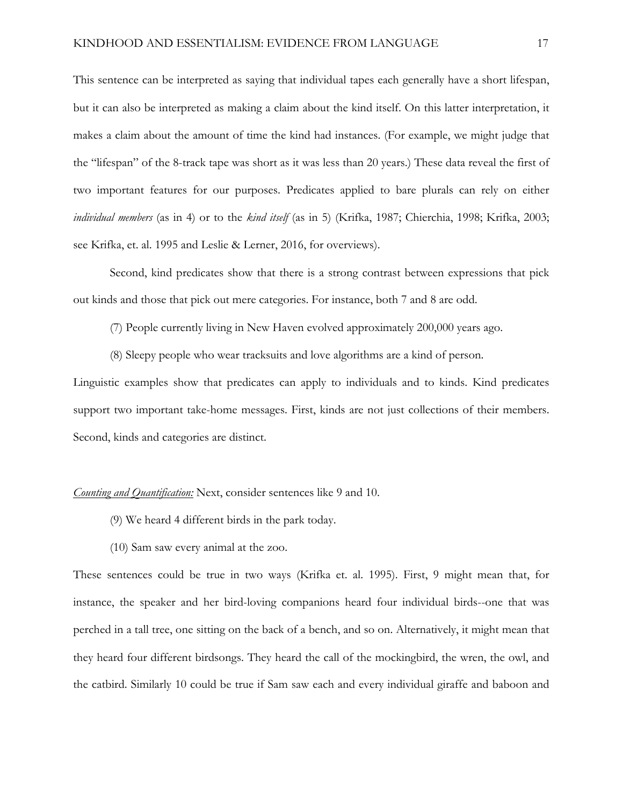This sentence can be interpreted as saying that individual tapes each generally have a short lifespan, but it can also be interpreted as making a claim about the kind itself. On this latter interpretation, it makes a claim about the amount of time the kind had instances. (For example, we might judge that the "lifespan" of the 8-track tape was short as it was less than 20 years.) These data reveal the first of two important features for our purposes. Predicates applied to bare plurals can rely on either *individual members* (as in 4) or to the *kind itself* (as in 5) (Krifka, 1987; Chierchia, 1998; Krifka, 2003; see Krifka, et. al. 1995 and Leslie & Lerner, 2016, for overviews).

Second, kind predicates show that there is a strong contrast between expressions that pick out kinds and those that pick out mere categories. For instance, both 7 and 8 are odd.

(7) People currently living in New Haven evolved approximately 200,000 years ago.

(8) Sleepy people who wear tracksuits and love algorithms are a kind of person.

Linguistic examples show that predicates can apply to individuals and to kinds. Kind predicates support two important take-home messages. First, kinds are not just collections of their members. Second, kinds and categories are distinct.

# *Counting and Quantification:* Next, consider sentences like 9 and 10.

- (9) We heard 4 different birds in the park today.
- (10) Sam saw every animal at the zoo.

These sentences could be true in two ways (Krifka et. al. 1995). First, 9 might mean that, for instance, the speaker and her bird-loving companions heard four individual birds--one that was perched in a tall tree, one sitting on the back of a bench, and so on. Alternatively, it might mean that they heard four different birdsongs. They heard the call of the mockingbird, the wren, the owl, and the catbird. Similarly 10 could be true if Sam saw each and every individual giraffe and baboon and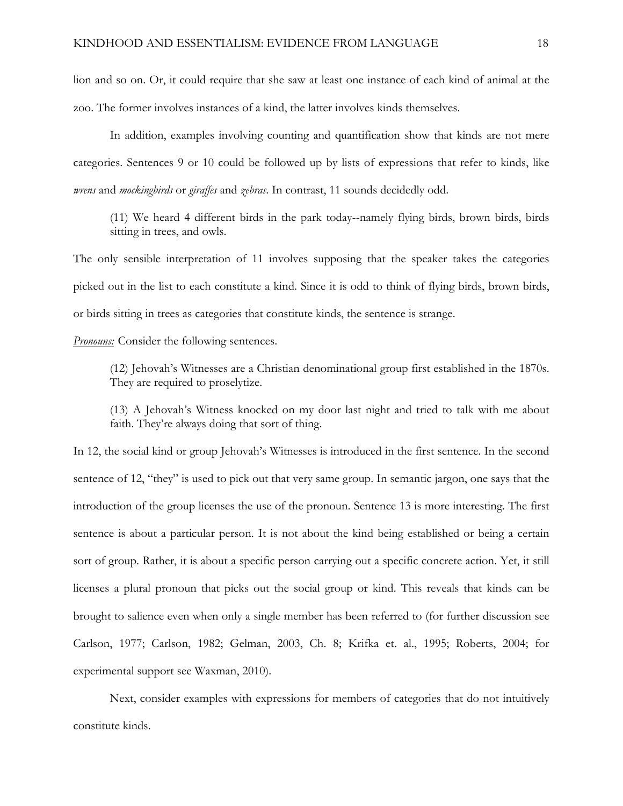lion and so on. Or, it could require that she saw at least one instance of each kind of animal at the zoo. The former involves instances of a kind, the latter involves kinds themselves.

In addition, examples involving counting and quantification show that kinds are not mere categories. Sentences 9 or 10 could be followed up by lists of expressions that refer to kinds, like *wrens* and *mockingbirds* or *giraffes* and *zebras*. In contrast, 11 sounds decidedly odd.

(11) We heard 4 different birds in the park today--namely flying birds, brown birds, birds sitting in trees, and owls.

The only sensible interpretation of 11 involves supposing that the speaker takes the categories picked out in the list to each constitute a kind. Since it is odd to think of flying birds, brown birds, or birds sitting in trees as categories that constitute kinds, the sentence is strange.

*Pronouns:* Consider the following sentences.

(12) Jehovah's Witnesses are a Christian denominational group first established in the 1870s. They are required to proselytize.

(13) A Jehovah's Witness knocked on my door last night and tried to talk with me about faith. They're always doing that sort of thing.

In 12, the social kind or group Jehovah's Witnesses is introduced in the first sentence. In the second sentence of 12, "they" is used to pick out that very same group. In semantic jargon, one says that the introduction of the group licenses the use of the pronoun. Sentence 13 is more interesting. The first sentence is about a particular person. It is not about the kind being established or being a certain sort of group. Rather, it is about a specific person carrying out a specific concrete action. Yet, it still licenses a plural pronoun that picks out the social group or kind. This reveals that kinds can be brought to salience even when only a single member has been referred to (for further discussion see Carlson, 1977; Carlson, 1982; Gelman, 2003, Ch. 8; Krifka et. al., 1995; Roberts, 2004; for experimental support see Waxman, 2010).

Next, consider examples with expressions for members of categories that do not intuitively constitute kinds.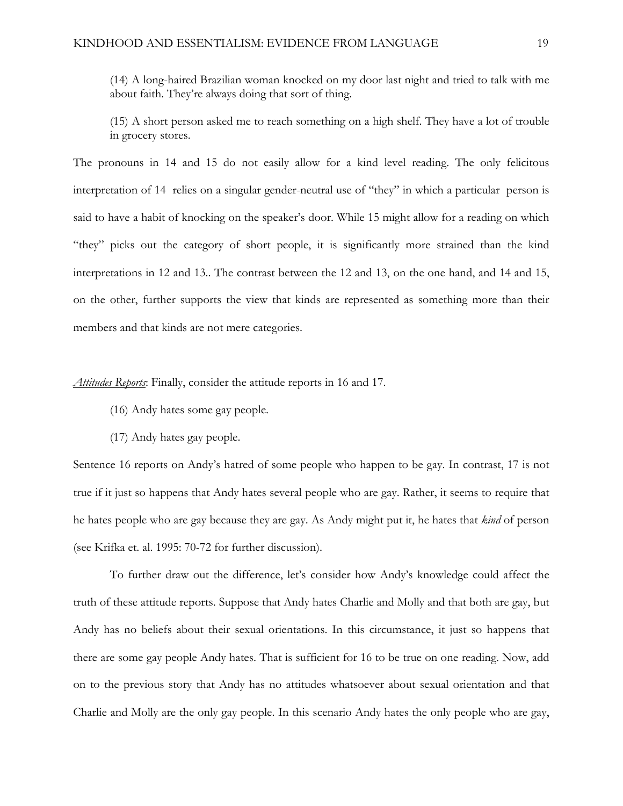(14) A long-haired Brazilian woman knocked on my door last night and tried to talk with me about faith. They're always doing that sort of thing.

(15) A short person asked me to reach something on a high shelf. They have a lot of trouble in grocery stores.

The pronouns in 14 and 15 do not easily allow for a kind level reading. The only felicitous interpretation of 14 relies on a singular gender-neutral use of "they" in which a particular person is said to have a habit of knocking on the speaker's door. While 15 might allow for a reading on which "they" picks out the category of short people, it is significantly more strained than the kind interpretations in 12 and 13.. The contrast between the 12 and 13, on the one hand, and 14 and 15, on the other, further supports the view that kinds are represented as something more than their members and that kinds are not mere categories.

*Attitudes Reports*: Finally, consider the attitude reports in 16 and 17.

- (16) Andy hates some gay people.
- (17) Andy hates gay people.

Sentence 16 reports on Andy's hatred of some people who happen to be gay. In contrast, 17 is not true if it just so happens that Andy hates several people who are gay. Rather, it seems to require that he hates people who are gay because they are gay. As Andy might put it, he hates that *kind* of person (see Krifka et. al. 1995: 70-72 for further discussion).

To further draw out the difference, let's consider how Andy's knowledge could affect the truth of these attitude reports. Suppose that Andy hates Charlie and Molly and that both are gay, but Andy has no beliefs about their sexual orientations. In this circumstance, it just so happens that there are some gay people Andy hates. That is sufficient for 16 to be true on one reading. Now, add on to the previous story that Andy has no attitudes whatsoever about sexual orientation and that Charlie and Molly are the only gay people. In this scenario Andy hates the only people who are gay,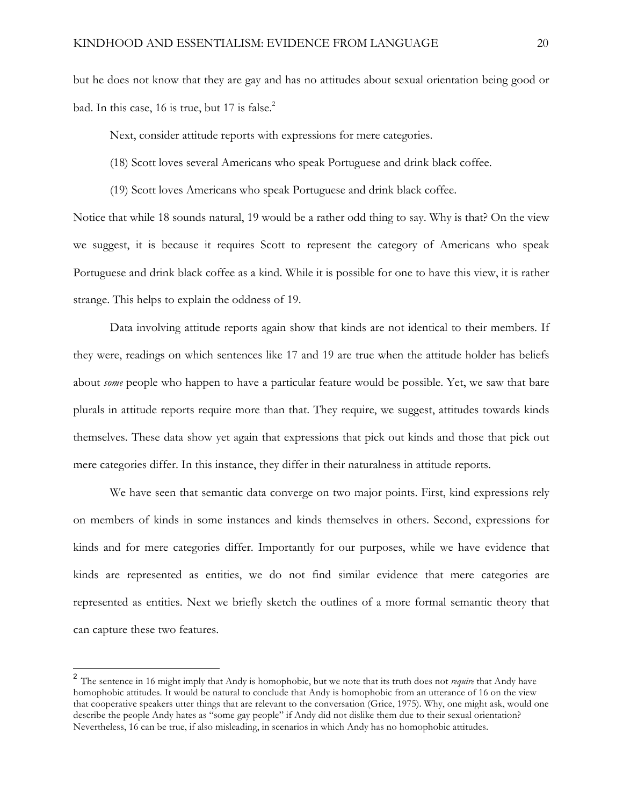but he does not know that they are gay and has no attitudes about sexual orientation being good or bad. In this case, 16 is true, but 17 is false. $2$ 

Next, consider attitude reports with expressions for mere categories.

(18) Scott loves several Americans who speak Portuguese and drink black coffee.

(19) Scott loves Americans who speak Portuguese and drink black coffee.

Notice that while 18 sounds natural, 19 would be a rather odd thing to say. Why is that? On the view we suggest, it is because it requires Scott to represent the category of Americans who speak Portuguese and drink black coffee as a kind. While it is possible for one to have this view, it is rather strange. This helps to explain the oddness of 19.

Data involving attitude reports again show that kinds are not identical to their members. If they were, readings on which sentences like 17 and 19 are true when the attitude holder has beliefs about *some* people who happen to have a particular feature would be possible. Yet, we saw that bare plurals in attitude reports require more than that. They require, we suggest, attitudes towards kinds themselves. These data show yet again that expressions that pick out kinds and those that pick out mere categories differ. In this instance, they differ in their naturalness in attitude reports.

We have seen that semantic data converge on two major points. First, kind expressions rely on members of kinds in some instances and kinds themselves in others. Second, expressions for kinds and for mere categories differ. Importantly for our purposes, while we have evidence that kinds are represented as entities, we do not find similar evidence that mere categories are represented as entities. Next we briefly sketch the outlines of a more formal semantic theory that can capture these two features.

 <sup>2</sup> The sentence in 16 might imply that Andy is homophobic, but we note that its truth does not *require* that Andy have homophobic attitudes. It would be natural to conclude that Andy is homophobic from an utterance of 16 on the view that cooperative speakers utter things that are relevant to the conversation (Grice, 1975). Why, one might ask, would one describe the people Andy hates as "some gay people" if Andy did not dislike them due to their sexual orientation? Nevertheless, 16 can be true, if also misleading, in scenarios in which Andy has no homophobic attitudes.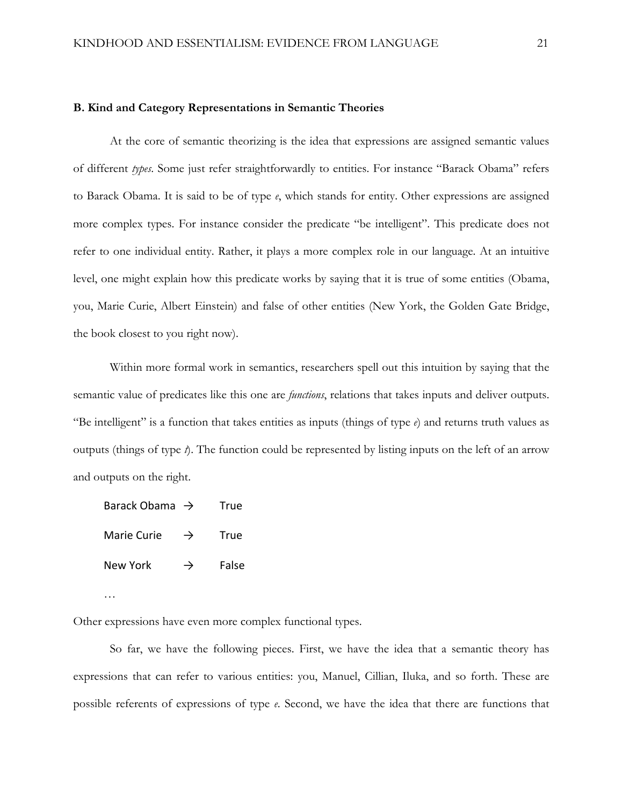#### **B. Kind and Category Representations in Semantic Theories**

At the core of semantic theorizing is the idea that expressions are assigned semantic values of different *types*. Some just refer straightforwardly to entities. For instance "Barack Obama" refers to Barack Obama. It is said to be of type *e*, which stands for entity. Other expressions are assigned more complex types. For instance consider the predicate "be intelligent". This predicate does not refer to one individual entity. Rather, it plays a more complex role in our language. At an intuitive level, one might explain how this predicate works by saying that it is true of some entities (Obama, you, Marie Curie, Albert Einstein) and false of other entities (New York, the Golden Gate Bridge, the book closest to you right now).

Within more formal work in semantics, researchers spell out this intuition by saying that the semantic value of predicates like this one are *functions*, relations that takes inputs and deliver outputs. "Be intelligent" is a function that takes entities as inputs (things of type  $e$ ) and returns truth values as outputs (things of type *t*). The function could be represented by listing inputs on the left of an arrow and outputs on the right.

Barack Obama  $\rightarrow$  True Marie Curie  $\rightarrow$  True New York  $\rightarrow$  False

…

Other expressions have even more complex functional types.

So far, we have the following pieces. First, we have the idea that a semantic theory has expressions that can refer to various entities: you, Manuel, Cillian, Iluka, and so forth. These are possible referents of expressions of type *e*. Second, we have the idea that there are functions that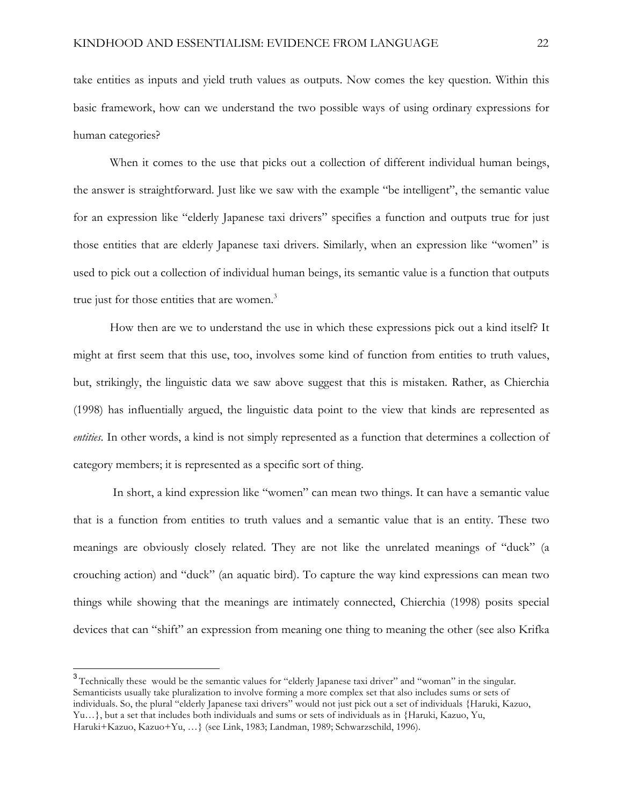take entities as inputs and yield truth values as outputs. Now comes the key question. Within this basic framework, how can we understand the two possible ways of using ordinary expressions for human categories?

When it comes to the use that picks out a collection of different individual human beings, the answer is straightforward. Just like we saw with the example "be intelligent", the semantic value for an expression like "elderly Japanese taxi drivers" specifies a function and outputs true for just those entities that are elderly Japanese taxi drivers. Similarly, when an expression like "women" is used to pick out a collection of individual human beings, its semantic value is a function that outputs true just for those entities that are women.<sup>3</sup>

How then are we to understand the use in which these expressions pick out a kind itself? It might at first seem that this use, too, involves some kind of function from entities to truth values, but, strikingly, the linguistic data we saw above suggest that this is mistaken. Rather, as Chierchia (1998) has influentially argued, the linguistic data point to the view that kinds are represented as *entities*. In other words, a kind is not simply represented as a function that determines a collection of category members; it is represented as a specific sort of thing.

In short, a kind expression like "women" can mean two things. It can have a semantic value that is a function from entities to truth values and a semantic value that is an entity. These two meanings are obviously closely related. They are not like the unrelated meanings of "duck" (a crouching action) and "duck" (an aquatic bird). To capture the way kind expressions can mean two things while showing that the meanings are intimately connected, Chierchia (1998) posits special devices that can "shift" an expression from meaning one thing to meaning the other (see also Krifka

<sup>&</sup>lt;sup>3</sup> Technically these would be the semantic values for "elderly Japanese taxi driver" and "woman" in the singular. Semanticists usually take pluralization to involve forming a more complex set that also includes sums or sets of individuals. So, the plural "elderly Japanese taxi drivers" would not just pick out a set of individuals {Haruki, Kazuo, Yu…}, but a set that includes both individuals and sums or sets of individuals as in {Haruki, Kazuo, Yu, Haruki+Kazuo, Kazuo+Yu, …} (see Link, 1983; Landman, 1989; Schwarzschild, 1996).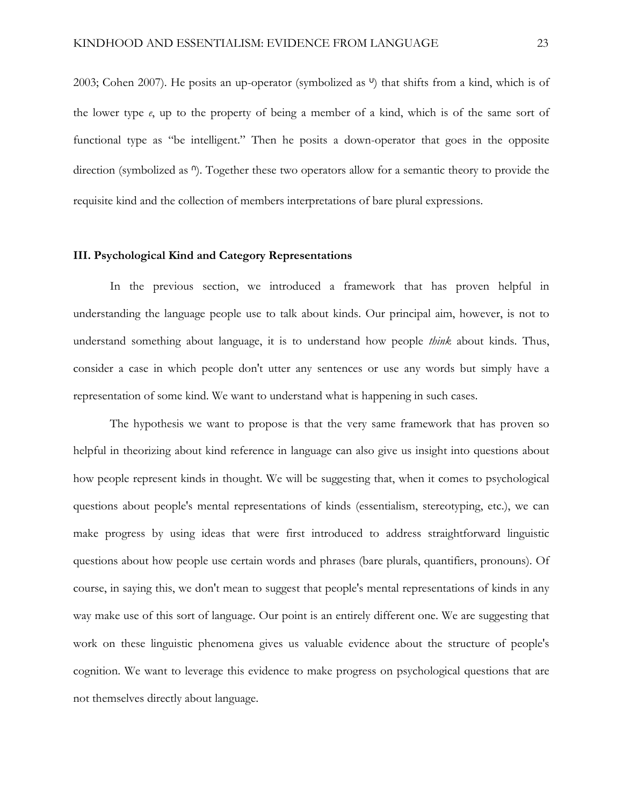2003; Cohen 2007). He posits an up-operator (symbolized as  $\theta$ ) that shifts from a kind, which is of the lower type *e*, up to the property of being a member of a kind, which is of the same sort of functional type as "be intelligent." Then he posits a down-operator that goes in the opposite direction (symbolized as <sup>n</sup>). Together these two operators allow for a semantic theory to provide the requisite kind and the collection of members interpretations of bare plural expressions.

### **III. Psychological Kind and Category Representations**

In the previous section, we introduced a framework that has proven helpful in understanding the language people use to talk about kinds. Our principal aim, however, is not to understand something about language, it is to understand how people *think* about kinds. Thus, consider a case in which people don't utter any sentences or use any words but simply have a representation of some kind. We want to understand what is happening in such cases.

The hypothesis we want to propose is that the very same framework that has proven so helpful in theorizing about kind reference in language can also give us insight into questions about how people represent kinds in thought. We will be suggesting that, when it comes to psychological questions about people's mental representations of kinds (essentialism, stereotyping, etc.), we can make progress by using ideas that were first introduced to address straightforward linguistic questions about how people use certain words and phrases (bare plurals, quantifiers, pronouns). Of course, in saying this, we don't mean to suggest that people's mental representations of kinds in any way make use of this sort of language. Our point is an entirely different one. We are suggesting that work on these linguistic phenomena gives us valuable evidence about the structure of people's cognition. We want to leverage this evidence to make progress on psychological questions that are not themselves directly about language.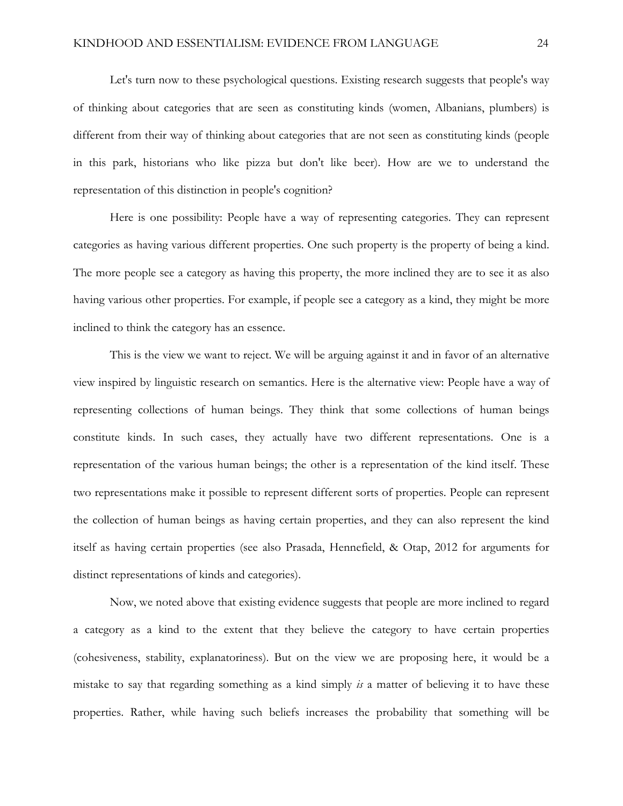Let's turn now to these psychological questions. Existing research suggests that people's way of thinking about categories that are seen as constituting kinds (women, Albanians, plumbers) is different from their way of thinking about categories that are not seen as constituting kinds (people in this park, historians who like pizza but don't like beer). How are we to understand the representation of this distinction in people's cognition?

Here is one possibility: People have a way of representing categories. They can represent categories as having various different properties. One such property is the property of being a kind. The more people see a category as having this property, the more inclined they are to see it as also having various other properties. For example, if people see a category as a kind, they might be more inclined to think the category has an essence.

This is the view we want to reject. We will be arguing against it and in favor of an alternative view inspired by linguistic research on semantics. Here is the alternative view: People have a way of representing collections of human beings. They think that some collections of human beings constitute kinds. In such cases, they actually have two different representations. One is a representation of the various human beings; the other is a representation of the kind itself. These two representations make it possible to represent different sorts of properties. People can represent the collection of human beings as having certain properties, and they can also represent the kind itself as having certain properties (see also Prasada, Hennefield, & Otap, 2012 for arguments for distinct representations of kinds and categories).

Now, we noted above that existing evidence suggests that people are more inclined to regard a category as a kind to the extent that they believe the category to have certain properties (cohesiveness, stability, explanatoriness). But on the view we are proposing here, it would be a mistake to say that regarding something as a kind simply *is* a matter of believing it to have these properties. Rather, while having such beliefs increases the probability that something will be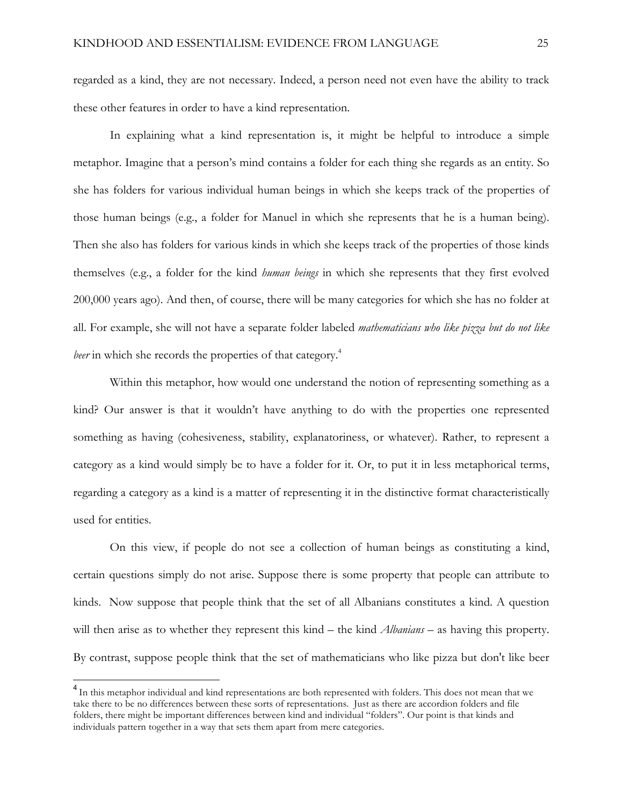regarded as a kind, they are not necessary. Indeed, a person need not even have the ability to track these other features in order to have a kind representation.

In explaining what a kind representation is, it might be helpful to introduce a simple metaphor. Imagine that a person's mind contains a folder for each thing she regards as an entity. So she has folders for various individual human beings in which she keeps track of the properties of those human beings (e.g., a folder for Manuel in which she represents that he is a human being). Then she also has folders for various kinds in which she keeps track of the properties of those kinds themselves (e.g., a folder for the kind *human beings* in which she represents that they first evolved 200,000 years ago). And then, of course, there will be many categories for which she has no folder at all. For example, she will not have a separate folder labeled *mathematicians who like pizza but do not like beer* in which she records the properties of that category.<sup>4</sup>

Within this metaphor, how would one understand the notion of representing something as a kind? Our answer is that it wouldn't have anything to do with the properties one represented something as having (cohesiveness, stability, explanatoriness, or whatever). Rather, to represent a category as a kind would simply be to have a folder for it. Or, to put it in less metaphorical terms, regarding a category as a kind is a matter of representing it in the distinctive format characteristically used for entities.

On this view, if people do not see a collection of human beings as constituting a kind, certain questions simply do not arise. Suppose there is some property that people can attribute to kinds. Now suppose that people think that the set of all Albanians constitutes a kind. A question will then arise as to whether they represent this kind – the kind *Albanians* – as having this property. By contrast, suppose people think that the set of mathematicians who like pizza but don't like beer

<sup>&</sup>lt;sup>4</sup> In this metaphor individual and kind representations are both represented with folders. This does not mean that we take there to be no differences between these sorts of representations. Just as there are accordion folders and file folders, there might be important differences between kind and individual "folders". Our point is that kinds and individuals pattern together in a way that sets them apart from mere categories.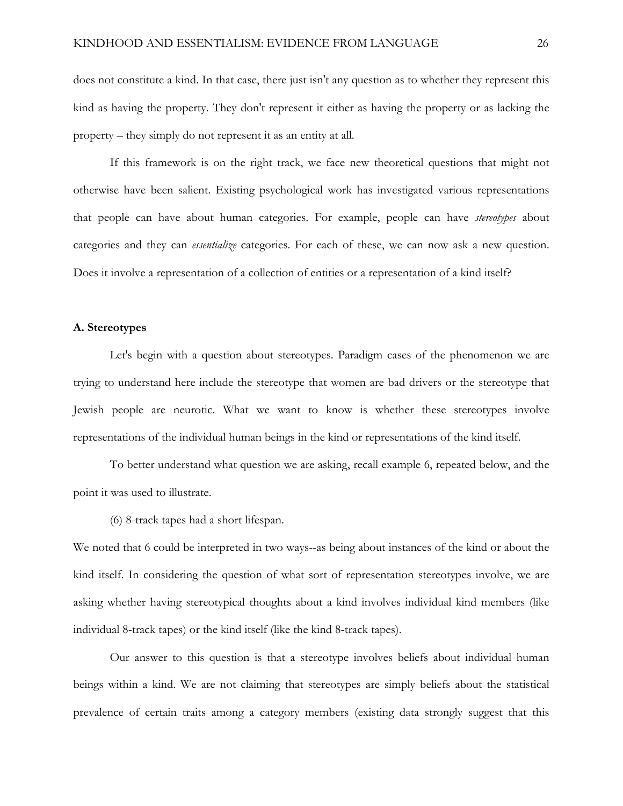does not constitute a kind. In that case, there just isn't any question as to whether they represent this kind as having the property. They don't represent it either as having the property or as lacking the property – they simply do not represent it as an entity at all.

If this framework is on the right track, we face new theoretical questions that might not otherwise have been salient. Existing psychological work has investigated various representations that people can have about human categories. For example, people can have *stereotypes* about categories and they can *essentialize* categories. For each of these, we can now ask a new question. Does it involve a representation of a collection of entities or a representation of a kind itself?

## **A. Stereotypes**

Let's begin with a question about stereotypes. Paradigm cases of the phenomenon we are trying to understand here include the stereotype that women are bad drivers or the stereotype that Jewish people are neurotic. What we want to know is whether these stereotypes involve representations of the individual human beings in the kind or representations of the kind itself.

To better understand what question we are asking, recall example 6, repeated below, and the point it was used to illustrate.

(6) 8-track tapes had a short lifespan.

We noted that 6 could be interpreted in two ways--as being about instances of the kind or about the kind itself. In considering the question of what sort of representation stereotypes involve, we are asking whether having stereotypical thoughts about a kind involves individual kind members (like individual 8-track tapes) or the kind itself (like the kind 8-track tapes).

Our answer to this question is that a stereotype involves beliefs about individual human beings within a kind. We are not claiming that stereotypes are simply beliefs about the statistical prevalence of certain traits among a category members (existing data strongly suggest that this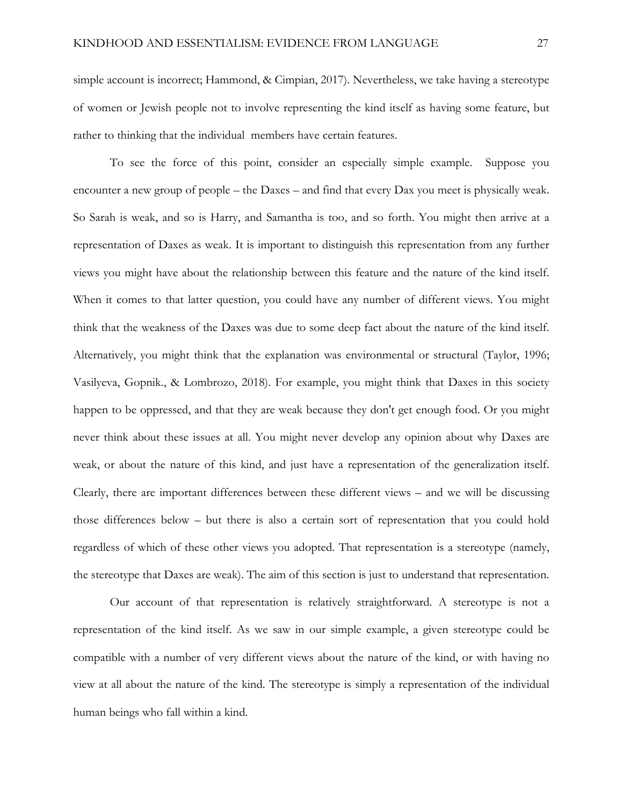simple account is incorrect; Hammond, & Cimpian, 2017). Nevertheless, we take having a stereotype of women or Jewish people not to involve representing the kind itself as having some feature, but rather to thinking that the individual members have certain features.

To see the force of this point, consider an especially simple example. Suppose you encounter a new group of people – the Daxes – and find that every Dax you meet is physically weak. So Sarah is weak, and so is Harry, and Samantha is too, and so forth. You might then arrive at a representation of Daxes as weak. It is important to distinguish this representation from any further views you might have about the relationship between this feature and the nature of the kind itself. When it comes to that latter question, you could have any number of different views. You might think that the weakness of the Daxes was due to some deep fact about the nature of the kind itself. Alternatively, you might think that the explanation was environmental or structural (Taylor, 1996; Vasilyeva, Gopnik., & Lombrozo, 2018). For example, you might think that Daxes in this society happen to be oppressed, and that they are weak because they don't get enough food. Or you might never think about these issues at all. You might never develop any opinion about why Daxes are weak, or about the nature of this kind, and just have a representation of the generalization itself. Clearly, there are important differences between these different views – and we will be discussing those differences below – but there is also a certain sort of representation that you could hold regardless of which of these other views you adopted. That representation is a stereotype (namely, the stereotype that Daxes are weak). The aim of this section is just to understand that representation.

Our account of that representation is relatively straightforward. A stereotype is not a representation of the kind itself. As we saw in our simple example, a given stereotype could be compatible with a number of very different views about the nature of the kind, or with having no view at all about the nature of the kind. The stereotype is simply a representation of the individual human beings who fall within a kind.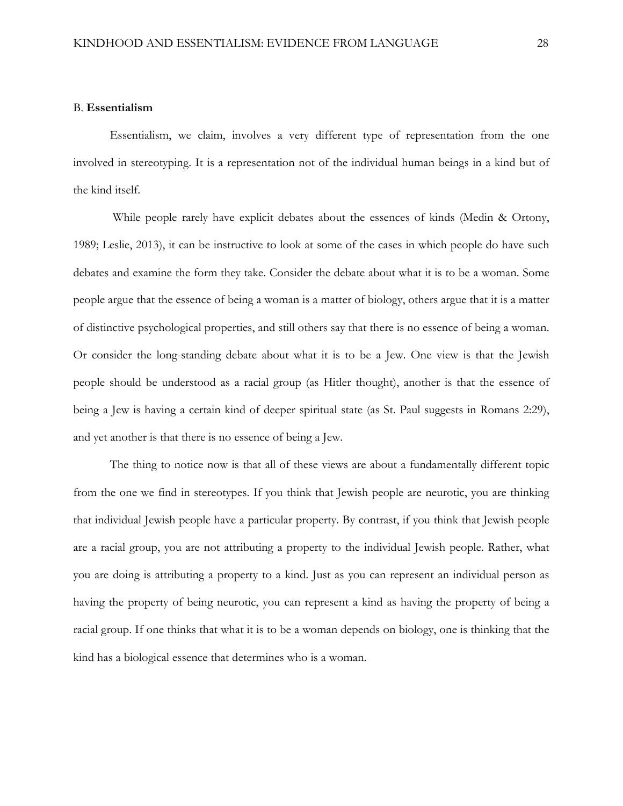### B. **Essentialism**

Essentialism, we claim, involves a very different type of representation from the one involved in stereotyping. It is a representation not of the individual human beings in a kind but of the kind itself.

While people rarely have explicit debates about the essences of kinds (Medin & Ortony, 1989; Leslie, 2013), it can be instructive to look at some of the cases in which people do have such debates and examine the form they take. Consider the debate about what it is to be a woman. Some people argue that the essence of being a woman is a matter of biology, others argue that it is a matter of distinctive psychological properties, and still others say that there is no essence of being a woman. Or consider the long-standing debate about what it is to be a Jew. One view is that the Jewish people should be understood as a racial group (as Hitler thought), another is that the essence of being a Jew is having a certain kind of deeper spiritual state (as St. Paul suggests in Romans 2:29), and yet another is that there is no essence of being a Jew.

The thing to notice now is that all of these views are about a fundamentally different topic from the one we find in stereotypes. If you think that Jewish people are neurotic, you are thinking that individual Jewish people have a particular property. By contrast, if you think that Jewish people are a racial group, you are not attributing a property to the individual Jewish people. Rather, what you are doing is attributing a property to a kind. Just as you can represent an individual person as having the property of being neurotic, you can represent a kind as having the property of being a racial group. If one thinks that what it is to be a woman depends on biology, one is thinking that the kind has a biological essence that determines who is a woman.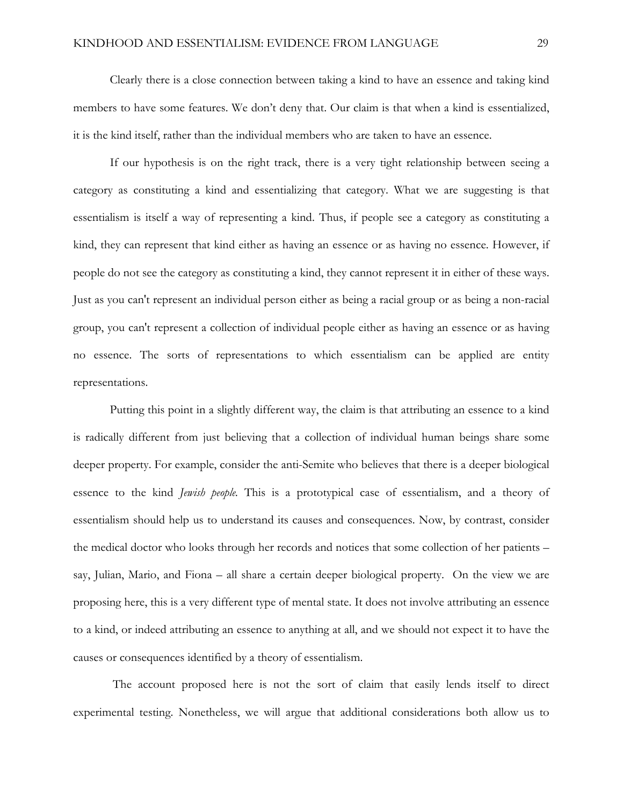Clearly there is a close connection between taking a kind to have an essence and taking kind members to have some features. We don't deny that. Our claim is that when a kind is essentialized, it is the kind itself, rather than the individual members who are taken to have an essence.

If our hypothesis is on the right track, there is a very tight relationship between seeing a category as constituting a kind and essentializing that category. What we are suggesting is that essentialism is itself a way of representing a kind. Thus, if people see a category as constituting a kind, they can represent that kind either as having an essence or as having no essence. However, if people do not see the category as constituting a kind, they cannot represent it in either of these ways. Just as you can't represent an individual person either as being a racial group or as being a non-racial group, you can't represent a collection of individual people either as having an essence or as having no essence. The sorts of representations to which essentialism can be applied are entity representations.

Putting this point in a slightly different way, the claim is that attributing an essence to a kind is radically different from just believing that a collection of individual human beings share some deeper property. For example, consider the anti-Semite who believes that there is a deeper biological essence to the kind *Jewish people.* This is a prototypical case of essentialism, and a theory of essentialism should help us to understand its causes and consequences. Now, by contrast, consider the medical doctor who looks through her records and notices that some collection of her patients – say, Julian, Mario, and Fiona – all share a certain deeper biological property. On the view we are proposing here, this is a very different type of mental state. It does not involve attributing an essence to a kind, or indeed attributing an essence to anything at all, and we should not expect it to have the causes or consequences identified by a theory of essentialism.

The account proposed here is not the sort of claim that easily lends itself to direct experimental testing. Nonetheless, we will argue that additional considerations both allow us to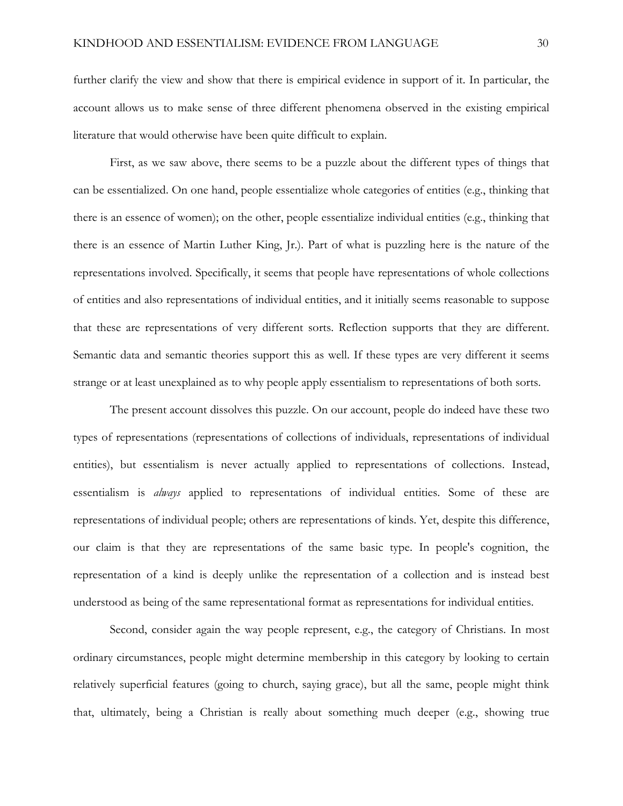further clarify the view and show that there is empirical evidence in support of it. In particular, the account allows us to make sense of three different phenomena observed in the existing empirical literature that would otherwise have been quite difficult to explain.

First, as we saw above, there seems to be a puzzle about the different types of things that can be essentialized. On one hand, people essentialize whole categories of entities (e.g., thinking that there is an essence of women); on the other, people essentialize individual entities (e.g., thinking that there is an essence of Martin Luther King, Jr.). Part of what is puzzling here is the nature of the representations involved. Specifically, it seems that people have representations of whole collections of entities and also representations of individual entities, and it initially seems reasonable to suppose that these are representations of very different sorts. Reflection supports that they are different. Semantic data and semantic theories support this as well. If these types are very different it seems strange or at least unexplained as to why people apply essentialism to representations of both sorts.

The present account dissolves this puzzle. On our account, people do indeed have these two types of representations (representations of collections of individuals, representations of individual entities), but essentialism is never actually applied to representations of collections. Instead, essentialism is *always* applied to representations of individual entities. Some of these are representations of individual people; others are representations of kinds. Yet, despite this difference, our claim is that they are representations of the same basic type. In people's cognition, the representation of a kind is deeply unlike the representation of a collection and is instead best understood as being of the same representational format as representations for individual entities.

Second, consider again the way people represent, e.g., the category of Christians. In most ordinary circumstances, people might determine membership in this category by looking to certain relatively superficial features (going to church, saying grace), but all the same, people might think that, ultimately, being a Christian is really about something much deeper (e.g., showing true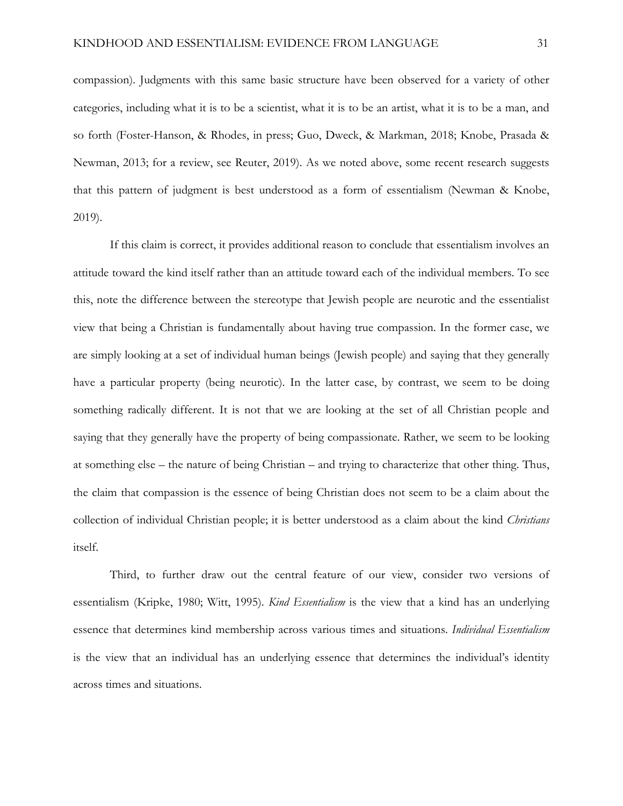compassion). Judgments with this same basic structure have been observed for a variety of other categories, including what it is to be a scientist, what it is to be an artist, what it is to be a man, and so forth (Foster-Hanson, & Rhodes, in press; Guo, Dweck, & Markman, 2018; Knobe, Prasada & Newman, 2013; for a review, see Reuter, 2019). As we noted above, some recent research suggests that this pattern of judgment is best understood as a form of essentialism (Newman & Knobe, 2019).

If this claim is correct, it provides additional reason to conclude that essentialism involves an attitude toward the kind itself rather than an attitude toward each of the individual members. To see this, note the difference between the stereotype that Jewish people are neurotic and the essentialist view that being a Christian is fundamentally about having true compassion. In the former case, we are simply looking at a set of individual human beings (Jewish people) and saying that they generally have a particular property (being neurotic). In the latter case, by contrast, we seem to be doing something radically different. It is not that we are looking at the set of all Christian people and saying that they generally have the property of being compassionate. Rather, we seem to be looking at something else – the nature of being Christian – and trying to characterize that other thing. Thus, the claim that compassion is the essence of being Christian does not seem to be a claim about the collection of individual Christian people; it is better understood as a claim about the kind *Christians* itself.

Third, to further draw out the central feature of our view, consider two versions of essentialism (Kripke, 1980; Witt, 1995). *Kind Essentialism* is the view that a kind has an underlying essence that determines kind membership across various times and situations. *Individual Essentialism*  is the view that an individual has an underlying essence that determines the individual's identity across times and situations.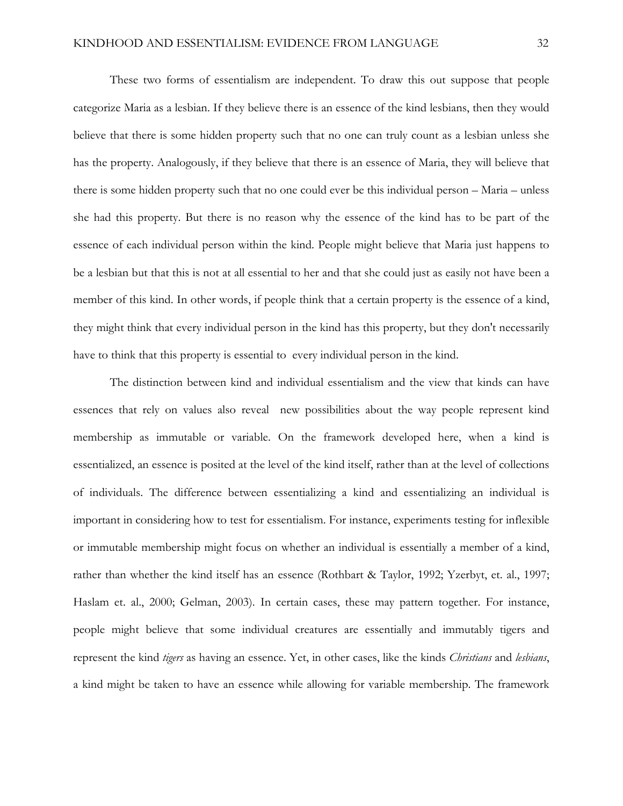These two forms of essentialism are independent. To draw this out suppose that people categorize Maria as a lesbian. If they believe there is an essence of the kind lesbians, then they would believe that there is some hidden property such that no one can truly count as a lesbian unless she has the property. Analogously, if they believe that there is an essence of Maria, they will believe that there is some hidden property such that no one could ever be this individual person – Maria – unless she had this property. But there is no reason why the essence of the kind has to be part of the essence of each individual person within the kind. People might believe that Maria just happens to be a lesbian but that this is not at all essential to her and that she could just as easily not have been a member of this kind. In other words, if people think that a certain property is the essence of a kind, they might think that every individual person in the kind has this property, but they don't necessarily have to think that this property is essential to every individual person in the kind.

The distinction between kind and individual essentialism and the view that kinds can have essences that rely on values also reveal new possibilities about the way people represent kind membership as immutable or variable. On the framework developed here, when a kind is essentialized, an essence is posited at the level of the kind itself, rather than at the level of collections of individuals. The difference between essentializing a kind and essentializing an individual is important in considering how to test for essentialism. For instance, experiments testing for inflexible or immutable membership might focus on whether an individual is essentially a member of a kind, rather than whether the kind itself has an essence (Rothbart & Taylor, 1992; Yzerbyt, et. al., 1997; Haslam et. al., 2000; Gelman, 2003). In certain cases, these may pattern together. For instance, people might believe that some individual creatures are essentially and immutably tigers and represent the kind *tigers* as having an essence. Yet, in other cases, like the kinds *Christians* and *lesbians*, a kind might be taken to have an essence while allowing for variable membership. The framework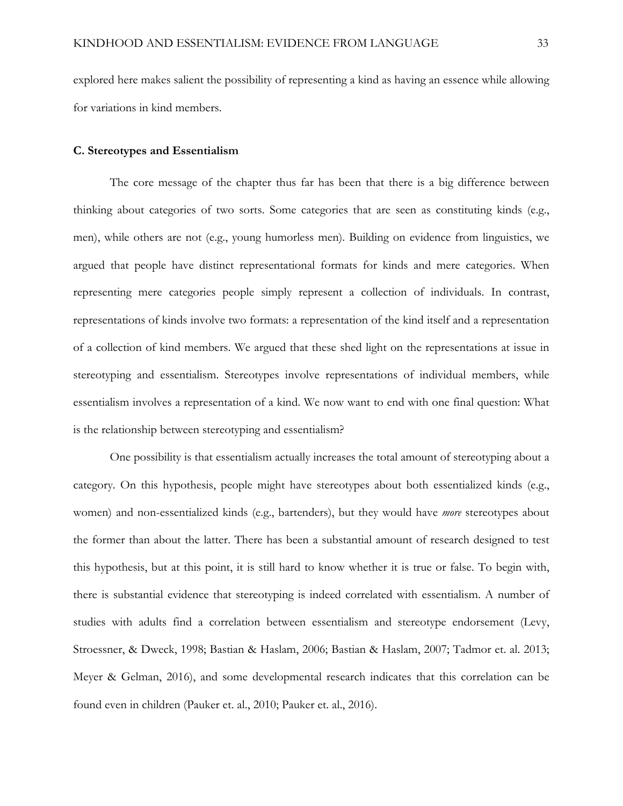explored here makes salient the possibility of representing a kind as having an essence while allowing for variations in kind members.

### **C. Stereotypes and Essentialism**

The core message of the chapter thus far has been that there is a big difference between thinking about categories of two sorts. Some categories that are seen as constituting kinds (e.g., men), while others are not (e.g., young humorless men). Building on evidence from linguistics, we argued that people have distinct representational formats for kinds and mere categories. When representing mere categories people simply represent a collection of individuals. In contrast, representations of kinds involve two formats: a representation of the kind itself and a representation of a collection of kind members. We argued that these shed light on the representations at issue in stereotyping and essentialism. Stereotypes involve representations of individual members, while essentialism involves a representation of a kind. We now want to end with one final question: What is the relationship between stereotyping and essentialism?

One possibility is that essentialism actually increases the total amount of stereotyping about a category. On this hypothesis, people might have stereotypes about both essentialized kinds (e.g., women) and non-essentialized kinds (e.g., bartenders), but they would have *more* stereotypes about the former than about the latter. There has been a substantial amount of research designed to test this hypothesis, but at this point, it is still hard to know whether it is true or false. To begin with, there is substantial evidence that stereotyping is indeed correlated with essentialism. A number of studies with adults find a correlation between essentialism and stereotype endorsement (Levy, Stroessner, & Dweck, 1998; Bastian & Haslam, 2006; Bastian & Haslam, 2007; Tadmor et. al. 2013; Meyer & Gelman, 2016), and some developmental research indicates that this correlation can be found even in children (Pauker et. al., 2010; Pauker et. al., 2016).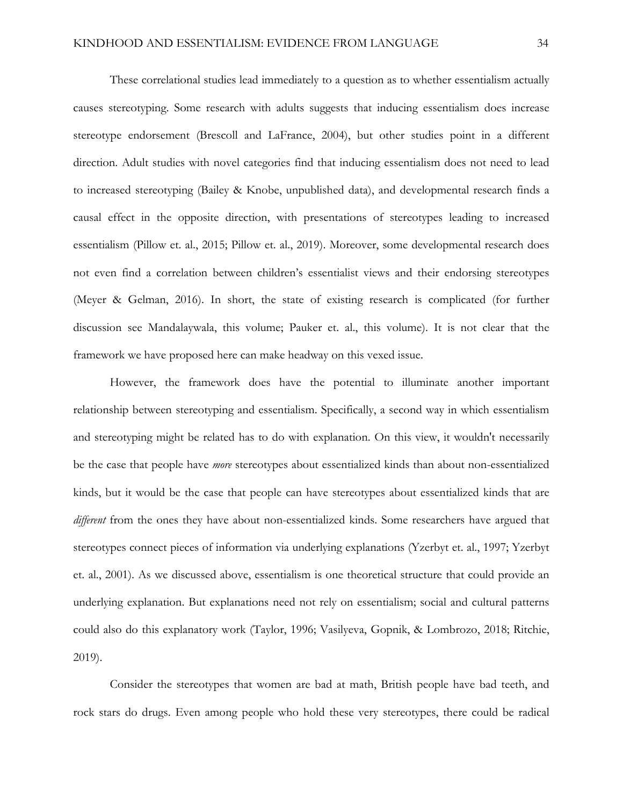These correlational studies lead immediately to a question as to whether essentialism actually causes stereotyping. Some research with adults suggests that inducing essentialism does increase stereotype endorsement (Brescoll and LaFrance, 2004), but other studies point in a different direction. Adult studies with novel categories find that inducing essentialism does not need to lead to increased stereotyping (Bailey & Knobe, unpublished data), and developmental research finds a causal effect in the opposite direction, with presentations of stereotypes leading to increased essentialism (Pillow et. al., 2015; Pillow et. al., 2019). Moreover, some developmental research does not even find a correlation between children's essentialist views and their endorsing stereotypes (Meyer & Gelman, 2016). In short, the state of existing research is complicated (for further discussion see Mandalaywala, this volume; Pauker et. al., this volume). It is not clear that the framework we have proposed here can make headway on this vexed issue.

However, the framework does have the potential to illuminate another important relationship between stereotyping and essentialism. Specifically, a second way in which essentialism and stereotyping might be related has to do with explanation. On this view, it wouldn't necessarily be the case that people have *more* stereotypes about essentialized kinds than about non-essentialized kinds, but it would be the case that people can have stereotypes about essentialized kinds that are *different* from the ones they have about non-essentialized kinds. Some researchers have argued that stereotypes connect pieces of information via underlying explanations (Yzerbyt et. al., 1997; Yzerbyt et. al., 2001). As we discussed above, essentialism is one theoretical structure that could provide an underlying explanation. But explanations need not rely on essentialism; social and cultural patterns could also do this explanatory work (Taylor, 1996; Vasilyeva, Gopnik, & Lombrozo, 2018; Ritchie, 2019).

Consider the stereotypes that women are bad at math, British people have bad teeth, and rock stars do drugs. Even among people who hold these very stereotypes, there could be radical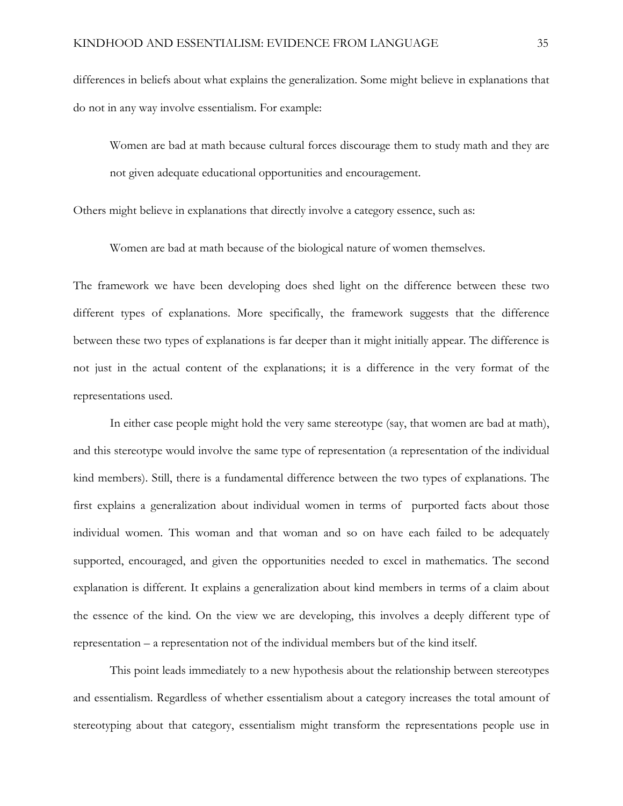differences in beliefs about what explains the generalization. Some might believe in explanations that do not in any way involve essentialism. For example:

Women are bad at math because cultural forces discourage them to study math and they are not given adequate educational opportunities and encouragement.

Others might believe in explanations that directly involve a category essence, such as:

Women are bad at math because of the biological nature of women themselves.

The framework we have been developing does shed light on the difference between these two different types of explanations. More specifically, the framework suggests that the difference between these two types of explanations is far deeper than it might initially appear. The difference is not just in the actual content of the explanations; it is a difference in the very format of the representations used.

In either case people might hold the very same stereotype (say, that women are bad at math), and this stereotype would involve the same type of representation (a representation of the individual kind members). Still, there is a fundamental difference between the two types of explanations. The first explains a generalization about individual women in terms of purported facts about those individual women. This woman and that woman and so on have each failed to be adequately supported, encouraged, and given the opportunities needed to excel in mathematics. The second explanation is different. It explains a generalization about kind members in terms of a claim about the essence of the kind. On the view we are developing, this involves a deeply different type of representation – a representation not of the individual members but of the kind itself.

This point leads immediately to a new hypothesis about the relationship between stereotypes and essentialism. Regardless of whether essentialism about a category increases the total amount of stereotyping about that category, essentialism might transform the representations people use in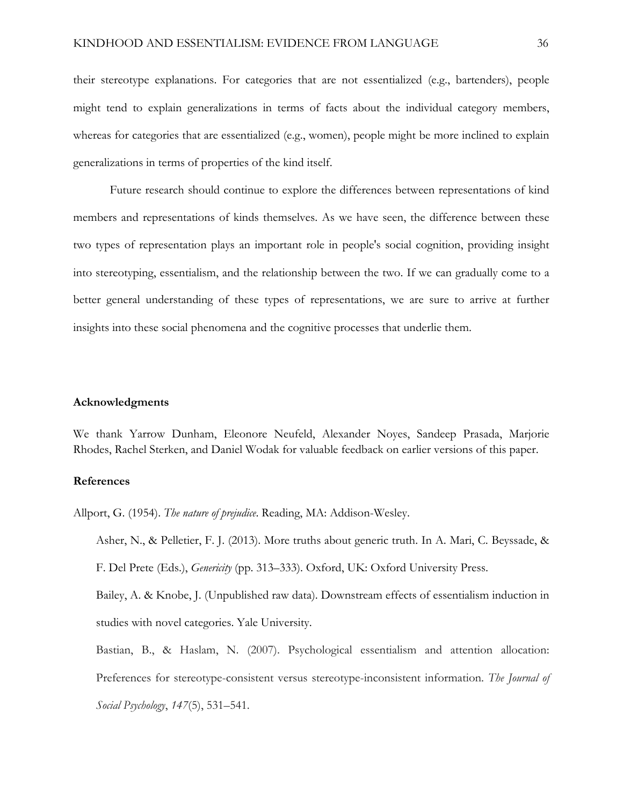their stereotype explanations. For categories that are not essentialized (e.g., bartenders), people might tend to explain generalizations in terms of facts about the individual category members, whereas for categories that are essentialized (e.g., women), people might be more inclined to explain generalizations in terms of properties of the kind itself.

Future research should continue to explore the differences between representations of kind members and representations of kinds themselves. As we have seen, the difference between these two types of representation plays an important role in people's social cognition, providing insight into stereotyping, essentialism, and the relationship between the two. If we can gradually come to a better general understanding of these types of representations, we are sure to arrive at further insights into these social phenomena and the cognitive processes that underlie them.

### **Acknowledgments**

We thank Yarrow Dunham, Eleonore Neufeld, Alexander Noyes, Sandeep Prasada, Marjorie Rhodes, Rachel Sterken, and Daniel Wodak for valuable feedback on earlier versions of this paper.

## **References**

Allport, G. (1954). *The nature of prejudice*. Reading, MA: Addison-Wesley.

Asher, N., & Pelletier, F. J. (2013). More truths about generic truth. In A. Mari, C. Beyssade, & F. Del Prete (Eds.), *Genericity* (pp. 313–333). Oxford, UK: Oxford University Press.

Bailey, A. & Knobe, J. (Unpublished raw data). Downstream effects of essentialism induction in studies with novel categories. Yale University.

Bastian, B., & Haslam, N. (2007). Psychological essentialism and attention allocation: Preferences for stereotype-consistent versus stereotype-inconsistent information. *The Journal of Social Psychology*, *147*(5), 531–541.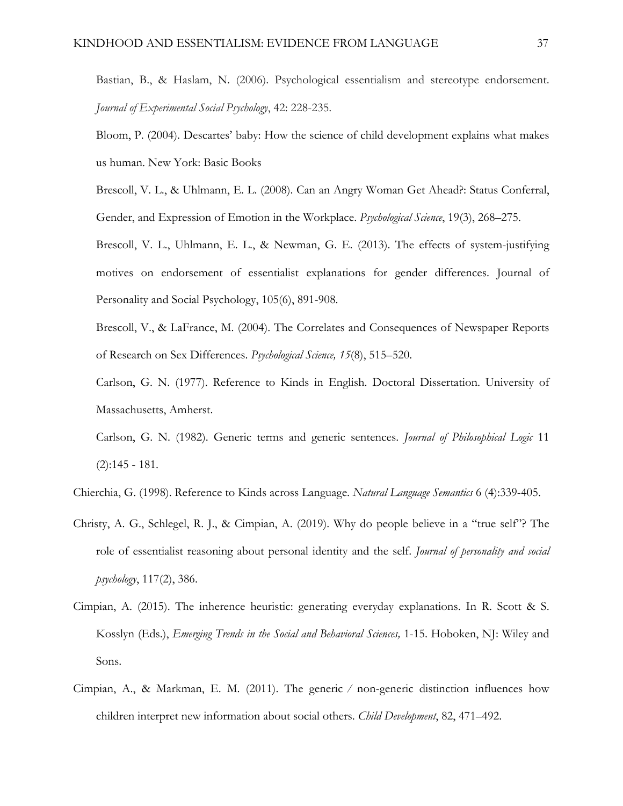Bastian, B., & Haslam, N. (2006). Psychological essentialism and stereotype endorsement. *Journal of Experimental Social Psychology*, 42: 228-235.

Bloom, P. (2004). Descartes' baby: How the science of child development explains what makes us human. New York: Basic Books

Brescoll, V. L., & Uhlmann, E. L. (2008). Can an Angry Woman Get Ahead?: Status Conferral, Gender, and Expression of Emotion in the Workplace. *Psychological Science*, 19(3), 268–275.

Brescoll, V. L., Uhlmann, E. L., & Newman, G. E. (2013). The effects of system-justifying motives on endorsement of essentialist explanations for gender differences. Journal of Personality and Social Psychology, 105(6), 891-908.

Brescoll, V., & LaFrance, M. (2004). The Correlates and Consequences of Newspaper Reports of Research on Sex Differences. *Psychological Science, 15*(8), 515–520.

Carlson, G. N. (1977). Reference to Kinds in English. Doctoral Dissertation. University of Massachusetts, Amherst.

Carlson, G. N. (1982). Generic terms and generic sentences. *Journal of Philosophical Logic* 11 (2):145 - 181.

Chierchia, G. (1998). Reference to Kinds across Language. *Natural Language Semantics* 6 (4):339-405.

- Christy, A. G., Schlegel, R. J., & Cimpian, A. (2019). Why do people believe in a "true self"? The role of essentialist reasoning about personal identity and the self. *Journal of personality and social psychology*, 117(2), 386.
- Cimpian, A. (2015). The inherence heuristic: generating everyday explanations. In R. Scott & S. Kosslyn (Eds.), *Emerging Trends in the Social and Behavioral Sciences,* 1-15. Hoboken, NJ: Wiley and Sons.
- Cimpian, A., & Markman, E. M. (2011). The generic ⁄ non-generic distinction influences how children interpret new information about social others. *Child Development*, 82, 471–492.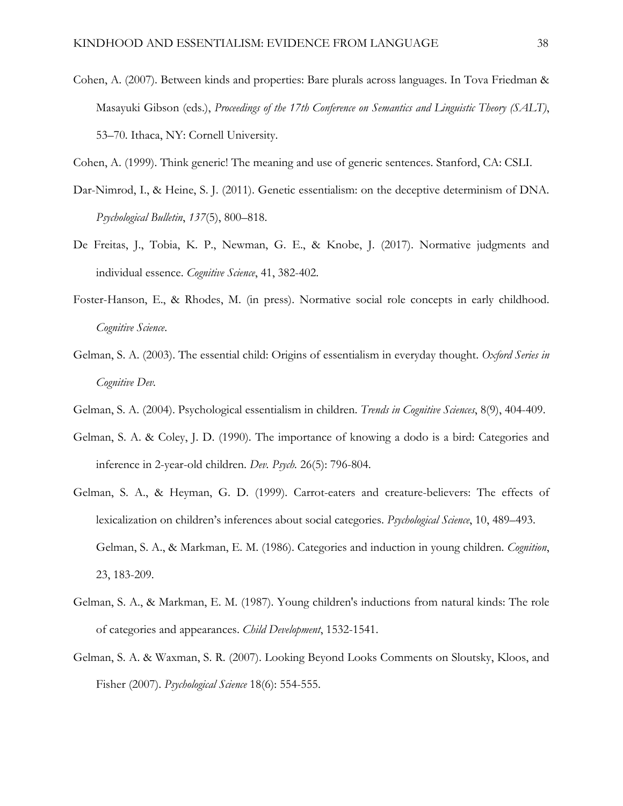- Cohen, A. (2007). Between kinds and properties: Bare plurals across languages. In Tova Friedman & Masayuki Gibson (eds.), *Proceedings of the 17th Conference on Semantics and Linguistic Theory (SALT)*, 53–70. Ithaca, NY: Cornell University.
- Cohen, A. (1999). Think generic! The meaning and use of generic sentences. Stanford, CA: CSLI.
- Dar-Nimrod, I., & Heine, S. J. (2011). Genetic essentialism: on the deceptive determinism of DNA. *Psychological Bulletin*, *137*(5), 800–818.
- De Freitas, J., Tobia, K. P., Newman, G. E., & Knobe, J. (2017). Normative judgments and individual essence. *Cognitive Science*, 41, 382-402.
- Foster-Hanson, E., & Rhodes, M. (in press). Normative social role concepts in early childhood. *Cognitive Science*.
- Gelman, S. A. (2003). The essential child: Origins of essentialism in everyday thought. *Oxford Series in Cognitive Dev.*
- Gelman, S. A. (2004). Psychological essentialism in children. *Trends in Cognitive Sciences*, 8(9), 404-409.
- Gelman, S. A. & Coley, J. D. (1990). The importance of knowing a dodo is a bird: Categories and inference in 2-year-old children. *Dev. Psych.* 26(5): 796-804.
- Gelman, S. A., & Heyman, G. D. (1999). Carrot-eaters and creature-believers: The effects of lexicalization on children's inferences about social categories. *Psychological Science*, 10, 489–493. Gelman, S. A., & Markman, E. M. (1986). Categories and induction in young children. *Cognition*, 23, 183-209.
- Gelman, S. A., & Markman, E. M. (1987). Young children's inductions from natural kinds: The role of categories and appearances. *Child Development*, 1532-1541.
- Gelman, S. A. & Waxman, S. R. (2007). Looking Beyond Looks Comments on Sloutsky, Kloos, and Fisher (2007). *Psychological Science* 18(6): 554-555.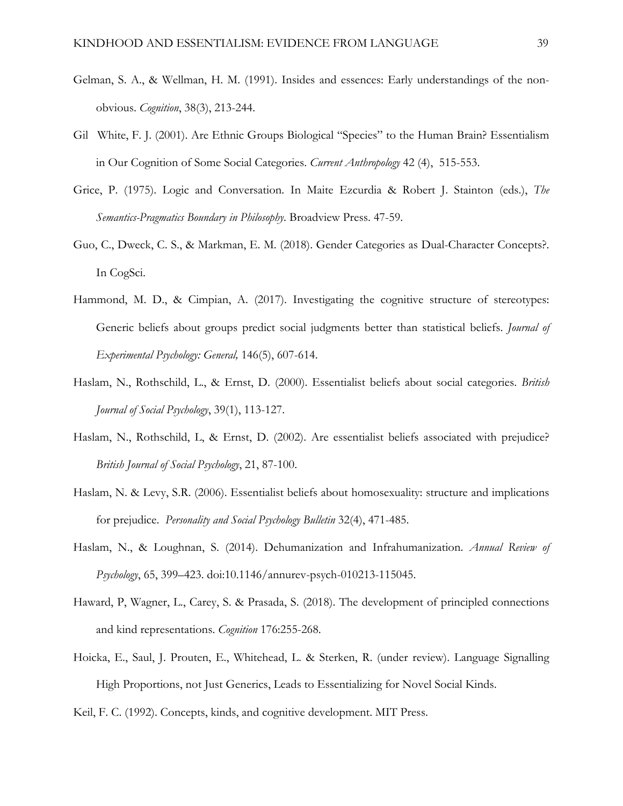- Gelman, S. A., & Wellman, H. M. (1991). Insides and essences: Early understandings of the nonobvious. *Cognition*, 38(3), 213-244.
- GilWhite, F. J. (2001). Are Ethnic Groups Biological "Species" to the Human Brain? Essentialism in Our Cognition of Some Social Categories. *Current Anthropology* 42 (4), 515-553.
- Grice, P. (1975). Logic and Conversation. In Maite Ezcurdia & Robert J. Stainton (eds.), *The Semantics-Pragmatics Boundary in Philosophy*. Broadview Press. 47-59.
- Guo, C., Dweck, C. S., & Markman, E. M. (2018). Gender Categories as Dual-Character Concepts?. In CogSci.
- Hammond, M. D., & Cimpian, A. (2017). Investigating the cognitive structure of stereotypes: Generic beliefs about groups predict social judgments better than statistical beliefs. *Journal of Experimental Psychology: General,* 146(5), 607-614.
- Haslam, N., Rothschild, L., & Ernst, D. (2000). Essentialist beliefs about social categories. *British Journal of Social Psychology*, 39(1), 113-127.
- Haslam, N., Rothschild, L, & Ernst, D. (2002). Are essentialist beliefs associated with prejudice? *British Journal of Social Psychology*, 21, 87-100.
- Haslam, N. & Levy, S.R. (2006). Essentialist beliefs about homosexuality: structure and implications for prejudice. *Personality and Social Psychology Bulletin* 32(4), 471-485.
- Haslam, N., & Loughnan, S. (2014). Dehumanization and Infrahumanization. *Annual Review of Psychology*, 65, 399–423. doi:10.1146/annurev-psych-010213-115045.
- Haward, P, Wagner, L., Carey, S. & Prasada, S. (2018). The development of principled connections and kind representations. *Cognition* 176:255-268.
- Hoicka, E., Saul, J. Prouten, E., Whitehead, L. & Sterken, R. (under review). Language Signalling High Proportions, not Just Generics, Leads to Essentializing for Novel Social Kinds.

Keil, F. C. (1992). Concepts, kinds, and cognitive development. MIT Press.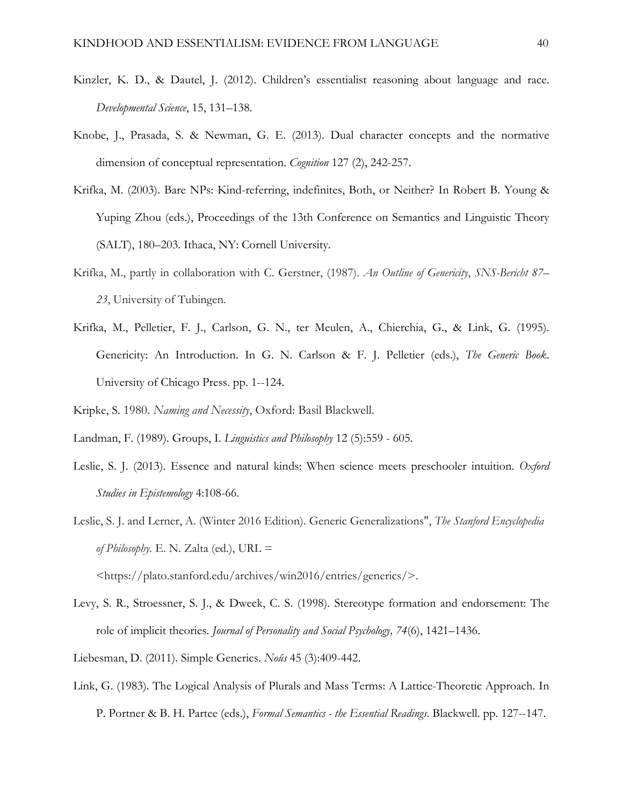- Kinzler, K. D., & Dautel, J. (2012). Children's essentialist reasoning about language and race. *Developmental Science*, 15, 131–138.
- Knobe, J., Prasada, S. & Newman, G. E. (2013). Dual character concepts and the normative dimension of conceptual representation. *Cognition* 127 (2), 242-257.
- Krifka, M. (2003). Bare NPs: Kind-referring, indefinites, Both, or Neither? In Robert B. Young & Yuping Zhou (eds.), Proceedings of the 13th Conference on Semantics and Linguistic Theory (SALT), 180–203. Ithaca, NY: Cornell University.
- Krifka, M., partly in collaboration with C. Gerstner, (1987). *An Outline of Genericity*, *SNS-Bericht 87– 23*, University of Tubingen.
- Krifka, M., Pelletier, F. J., Carlson, G. N., ter Meulen, A., Chierchia, G., & Link, G. (1995). Genericity: An Introduction. In G. N. Carlson & F. J. Pelletier (eds.), *The Generic Book*. University of Chicago Press. pp. 1--124.

Kripke, S. 1980. *Naming and Necessity*, Oxford: Basil Blackwell.

Landman, F. (1989). Groups, I. *Linguistics and Philosophy* 12 (5):559 - 605.

- Leslie, S. J. (2013). Essence and natural kinds: When science meets preschooler intuition. *Oxford Studies in Epistemology* 4:108-66.
- Leslie, S. J. and Lerner, A. (Winter 2016 Edition). Generic Generalizations", *The Stanford Encyclopedia of Philosophy.* E. N. Zalta (ed.), URL =

<https://plato.stanford.edu/archives/win2016/entries/generics/>.

- Levy, S. R., Stroessner, S. J., & Dweck, C. S. (1998). Stereotype formation and endorsement: The role of implicit theories. *Journal of Personality and Social Psychology, 74*(6), 1421–1436.
- Liebesman, D. (2011). Simple Generics. *Noûs* 45 (3):409-442.
- Link, G. (1983). The Logical Analysis of Plurals and Mass Terms: A Lattice-Theoretic Approach. In P. Portner & B. H. Partee (eds.), *Formal Semantics - the Essential Readings*. Blackwell. pp. 127--147.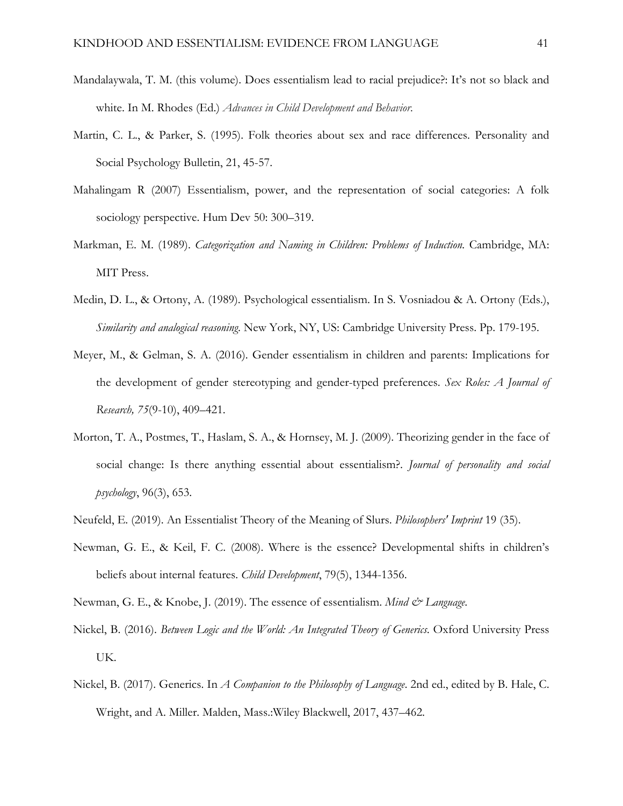- Mandalaywala, T. M. (this volume). Does essentialism lead to racial prejudice?: It's not so black and white. In M. Rhodes (Ed.) *Advances in Child Development and Behavior.*
- Martin, C. L., & Parker, S. (1995). Folk theories about sex and race differences. Personality and Social Psychology Bulletin, 21, 45-57.
- Mahalingam R (2007) Essentialism, power, and the representation of social categories: A folk sociology perspective. Hum Dev 50: 300–319.
- Markman, E. M. (1989). *Categorization and Naming in Children: Problems of Induction.* Cambridge, MA: MIT Press.
- Medin, D. L., & Ortony, A. (1989). Psychological essentialism. In S. Vosniadou & A. Ortony (Eds.), *Similarity and analogical reasoning*. New York, NY, US: Cambridge University Press. Pp. 179-195.
- Meyer, M., & Gelman, S. A. (2016). Gender essentialism in children and parents: Implications for the development of gender stereotyping and gender-typed preferences. *Sex Roles: A Journal of Research, 75*(9-10), 409–421.
- Morton, T. A., Postmes, T., Haslam, S. A., & Hornsey, M. J. (2009). Theorizing gender in the face of social change: Is there anything essential about essentialism?. *Journal of personality and social psychology*, 96(3), 653.
- Neufeld, E. (2019). An Essentialist Theory of the Meaning of Slurs. *Philosophers' Imprint* 19 (35).
- Newman, G. E., & Keil, F. C. (2008). Where is the essence? Developmental shifts in children's beliefs about internal features. *Child Development*, 79(5), 1344-1356.
- Newman, G. E., & Knobe, J. (2019). The essence of essentialism. *Mind & Language*.
- Nickel, B. (2016). *Between Logic and the World: An Integrated Theory of Generics*. Oxford University Press UK.
- Nickel, B. (2017). Generics. In *A Companion to the Philosophy of Language*. 2nd ed., edited by B. Hale, C. Wright, and A. Miller. Malden, Mass.:Wiley Blackwell, 2017, 437–462.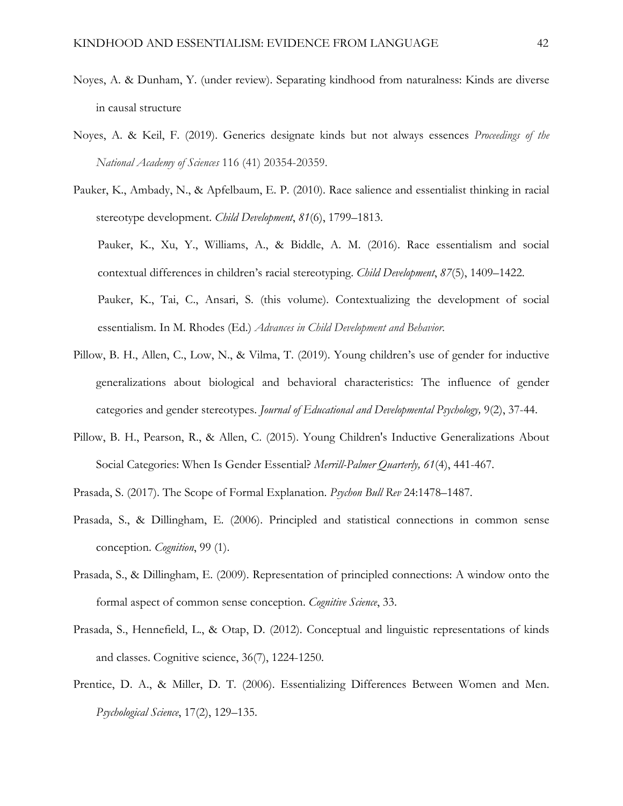- Noyes, A. & Dunham, Y. (under review). Separating kindhood from naturalness: Kinds are diverse in causal structure
- Noyes, A. & Keil, F. (2019). Generics designate kinds but not always essences *Proceedings of the National Academy of Sciences* 116 (41) 20354-20359.
- Pauker, K., Ambady, N., & Apfelbaum, E. P. (2010). Race salience and essentialist thinking in racial stereotype development. *Child Development*, *81*(6), 1799–1813.

Pauker, K., Xu, Y., Williams, A., & Biddle, A. M. (2016). Race essentialism and social contextual differences in children's racial stereotyping. *Child Development*, *87*(5), 1409–1422.

Pauker, K., Tai, C., Ansari, S. (this volume). Contextualizing the development of social essentialism. In M. Rhodes (Ed.) *Advances in Child Development and Behavior.*

- Pillow, B. H., Allen, C., Low, N., & Vilma, T. (2019). Young children's use of gender for inductive generalizations about biological and behavioral characteristics: The influence of gender categories and gender stereotypes. *Journal of Educational and Developmental Psychology,* 9(2), 37-44.
- Pillow, B. H., Pearson, R., & Allen, C. (2015). Young Children's Inductive Generalizations About Social Categories: When Is Gender Essential? *Merrill-Palmer Quarterly, 61*(4), 441-467.
- Prasada, S. (2017). The Scope of Formal Explanation. *Psychon Bull Rev* 24:1478–1487.
- Prasada, S., & Dillingham, E. (2006). Principled and statistical connections in common sense conception. *Cognition*, 99 (1).
- Prasada, S., & Dillingham, E. (2009). Representation of principled connections: A window onto the formal aspect of common sense conception. *Cognitive Science*, 33.
- Prasada, S., Hennefield, L., & Otap, D. (2012). Conceptual and linguistic representations of kinds and classes. Cognitive science, 36(7), 1224-1250.
- Prentice, D. A., & Miller, D. T. (2006). Essentializing Differences Between Women and Men. *Psychological Science*, 17(2), 129–135.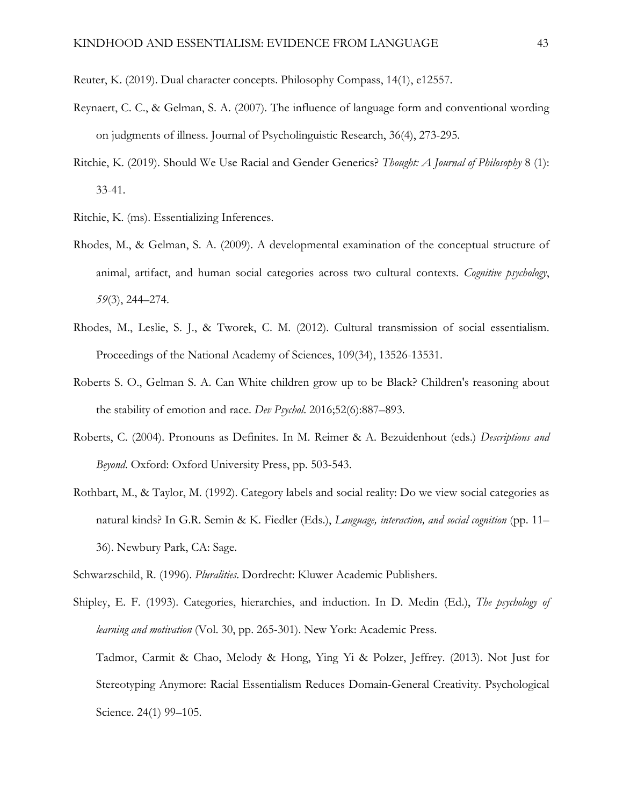- Reuter, K. (2019). Dual character concepts. Philosophy Compass, 14(1), e12557.
- Reynaert, C. C., & Gelman, S. A. (2007). The influence of language form and conventional wording on judgments of illness. Journal of Psycholinguistic Research, 36(4), 273-295.
- Ritchie, K. (2019). Should We Use Racial and Gender Generics? *Thought: A Journal of Philosophy* 8 (1): 33-41.
- Ritchie, K. (ms). Essentializing Inferences.
- Rhodes, M., & Gelman, S. A. (2009). A developmental examination of the conceptual structure of animal, artifact, and human social categories across two cultural contexts. *Cognitive psychology*, *59*(3), 244–274.
- Rhodes, M., Leslie, S. J., & Tworek, C. M. (2012). Cultural transmission of social essentialism. Proceedings of the National Academy of Sciences, 109(34), 13526-13531.
- Roberts S. O., Gelman S. A. Can White children grow up to be Black? Children's reasoning about the stability of emotion and race. *Dev Psychol*. 2016;52(6):887–893.
- Roberts, C. (2004). Pronouns as Definites. In M. Reimer & A. Bezuidenhout (eds.) *Descriptions and Beyond*. Oxford: Oxford University Press, pp. 503-543.
- Rothbart, M., & Taylor, M. (1992). Category labels and social reality: Do we view social categories as natural kinds? In G.R. Semin & K. Fiedler (Eds.), *Language, interaction, and social cognition* (pp. 11– 36). Newbury Park, CA: Sage.
- Schwarzschild, R. (1996). *Pluralities*. Dordrecht: Kluwer Academic Publishers.
- Shipley, E. F. (1993). Categories, hierarchies, and induction. In D. Medin (Ed.), *The psychology of learning and motivation* (Vol. 30, pp. 265-301). New York: Academic Press. Tadmor, Carmit & Chao, Melody & Hong, Ying Yi & Polzer, Jeffrey. (2013). Not Just for Stereotyping Anymore: Racial Essentialism Reduces Domain-General Creativity. Psychological Science. 24(1) 99–105.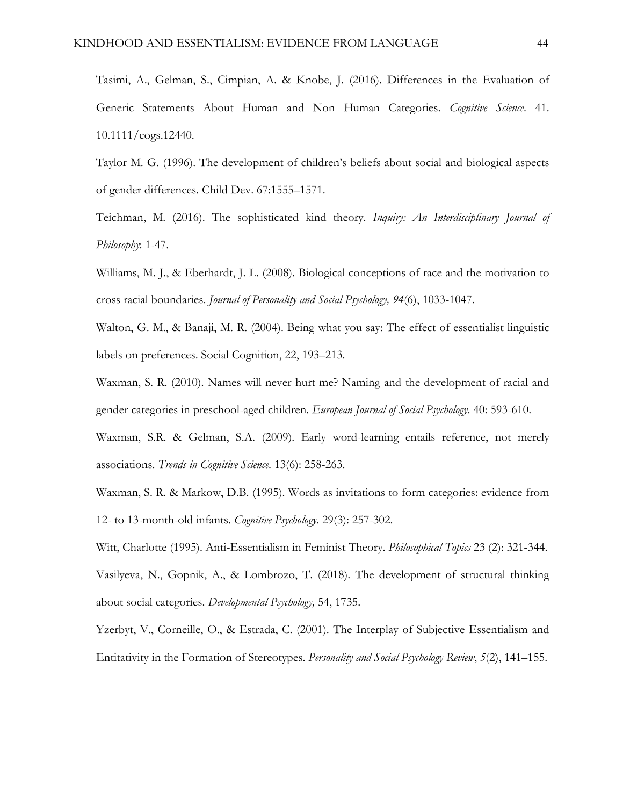Tasimi, A., Gelman, S., Cimpian, A. & Knobe, J. (2016). Differences in the Evaluation of Generic Statements About Human and Non Human Categories. *Cognitive Science*. 41. 10.1111/cogs.12440.

Taylor M. G. (1996). The development of children's beliefs about social and biological aspects of gender differences. Child Dev. 67:1555–1571.

Teichman, M. (2016). The sophisticated kind theory. *Inquiry: An Interdisciplinary Journal of Philosophy*: 1-47.

Williams, M. J., & Eberhardt, J. L. (2008). Biological conceptions of race and the motivation to cross racial boundaries. *Journal of Personality and Social Psychology, 94*(6), 1033-1047.

Walton, G. M., & Banaji, M. R. (2004). Being what you say: The effect of essentialist linguistic labels on preferences. Social Cognition, 22, 193–213.

Waxman, S. R. (2010). Names will never hurt me? Naming and the development of racial and gender categories in preschool-aged children. *European Journal of Social Psychology*. 40: 593-610.

Waxman, S.R. & Gelman, S.A. (2009). Early word-learning entails reference, not merely associations. *Trends in Cognitive Science*. 13(6): 258-263.

Waxman, S. R. & Markow, D.B. (1995). Words as invitations to form categories: evidence from 12- to 13-month-old infants. *Cognitive Psychology.* 29(3): 257-302.

Witt, Charlotte (1995). Anti-Essentialism in Feminist Theory. *Philosophical Topics* 23 (2): 321-344. Vasilyeva, N., Gopnik, A., & Lombrozo, T. (2018). The development of structural thinking about social categories. *Developmental Psychology,* 54, 1735.

Yzerbyt, V., Corneille, O., & Estrada, C. (2001). The Interplay of Subjective Essentialism and Entitativity in the Formation of Stereotypes. *Personality and Social Psychology Review*, *5*(2), 141–155.